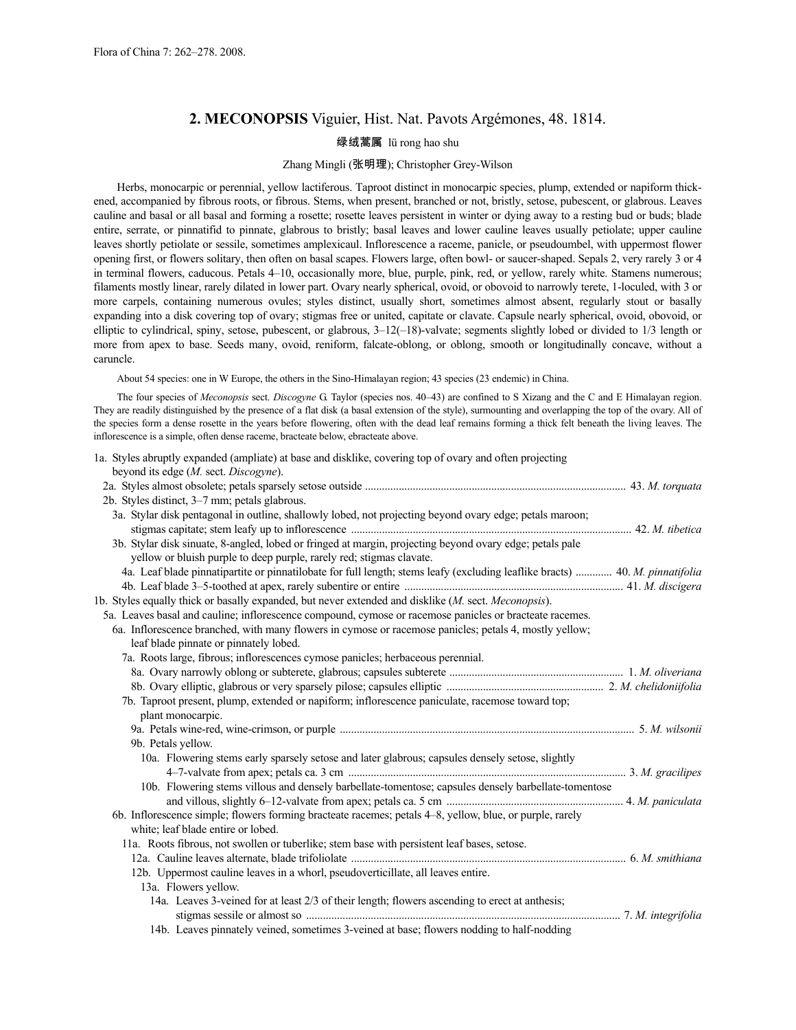# **2. MECONOPSIS** Viguier, Hist. Nat. Pavots Argémones, 48. 1814.

# 绿绒蒿属 lü rong hao shu

# Zhang Mingli (张明理); Christopher Grey-Wilson

Herbs, monocarpic or perennial, yellow lactiferous. Taproot distinct in monocarpic species, plump, extended or napiform thickened, accompanied by fibrous roots, or fibrous. Stems, when present, branched or not, bristly, setose, pubescent, or glabrous. Leaves cauline and basal or all basal and forming a rosette; rosette leaves persistent in winter or dying away to a resting bud or buds; blade entire, serrate, or pinnatifid to pinnate, glabrous to bristly; basal leaves and lower cauline leaves usually petiolate; upper cauline leaves shortly petiolate or sessile, sometimes amplexicaul. Inflorescence a raceme, panicle, or pseudoumbel, with uppermost flower opening first, or flowers solitary, then often on basal scapes. Flowers large, often bowl- or saucer-shaped. Sepals 2, very rarely 3 or 4 in terminal flowers, caducous. Petals 4–10, occasionally more, blue, purple, pink, red, or yellow, rarely white. Stamens numerous; filaments mostly linear, rarely dilated in lower part. Ovary nearly spherical, ovoid, or obovoid to narrowly terete, 1-loculed, with 3 or more carpels, containing numerous ovules; styles distinct, usually short, sometimes almost absent, regularly stout or basally expanding into a disk covering top of ovary; stigmas free or united, capitate or clavate. Capsule nearly spherical, ovoid, obovoid, or elliptic to cylindrical, spiny, setose, pubescent, or glabrous, 3–12(–18)-valvate; segments slightly lobed or divided to 1/3 length or more from apex to base. Seeds many, ovoid, reniform, falcate-oblong, or oblong, smooth or longitudinally concave, without a caruncle.

About 54 species: one in W Europe, the others in the Sino-Himalayan region; 43 species (23 endemic) in China.

The four species of *Meconopsis* sect. *Discogyne* G. Taylor (species nos. 40–43) are confined to S Xizang and the C and E Himalayan region. They are readily distinguished by the presence of a flat disk (a basal extension of the style), surmounting and overlapping the top of the ovary. All of the species form a dense rosette in the years before flowering, often with the dead leaf remains forming a thick felt beneath the living leaves. The inflorescence is a simple, often dense raceme, bracteate below, ebracteate above.

1a. Styles abruptly expanded (ampliate) at base and disklike, covering top of ovary and often projecting beyond its edge (*M.* sect. *Discogyne*). 2a. Styles almost obsolete; petals sparsely setose outside ............................................................................................. 43. *M. torquata* 2b. Styles distinct, 3–7 mm; petals glabrous. 3a. Stylar disk pentagonal in outline, shallowly lobed, not projecting beyond ovary edge; petals maroon; stigmas capitate; stem leafy up to inflorescence .................................................................................................... 42. *M. tibetica* 3b. Stylar disk sinuate, 8-angled, lobed or fringed at margin, projecting beyond ovary edge; petals pale yellow or bluish purple to deep purple, rarely red; stigmas clavate. 4a. Leaf blade pinnatipartite or pinnatilobate for full length; stems leafy (excluding leaflike bracts) ............. 40. *M. pinnatifolia* 4b. Leaf blade 3–5-toothed at apex, rarely subentire or entire .............................................................................. 41. *M. discigera* 1b. Styles equally thick or basally expanded, but never extended and disklike (*M.* sect. *Meconopsis*). 5a. Leaves basal and cauline; inflorescence compound, cymose or racemose panicles or bracteate racemes. 6a. Inflorescence branched, with many flowers in cymose or racemose panicles; petals 4, mostly yellow; leaf blade pinnate or pinnately lobed. 7a. Roots large, fibrous; inflorescences cymose panicles; herbaceous perennial. 8a. Ovary narrowly oblong or subterete, glabrous; capsules subterete .............................................................. 1. *M. oliveriana* 8b. Ovary elliptic, glabrous or very sparsely pilose; capsules elliptic ........................................................ 2. *M. chelidoniifolia* 7b. Taproot present, plump, extended or napiform; inflorescence paniculate, racemose toward top; plant monocarpic. 9a. Petals wine-red, wine-crimson, or purple ......................................................................................................... 5. *M. wilsonii* 9b. Petals yellow. 10a. Flowering stems early sparsely setose and later glabrous; capsules densely setose, slightly 4–7-valvate from apex; petals ca. 3 cm ................................................................................................... 3. *M. gracilipes* 10b. Flowering stems villous and densely barbellate-tomentose; capsules densely barbellate-tomentose and villous, slightly 6–12-valvate from apex; petals ca. 5 cm ............................................................... 4. *M. paniculata* 6b. Inflorescence simple; flowers forming bracteate racemes; petals 4–8, yellow, blue, or purple, rarely white; leaf blade entire or lobed. 11a. Roots fibrous, not swollen or tuberlike; stem base with persistent leaf bases, setose. 12a. Cauline leaves alternate, blade trifoliolate .................................................................................................. 6. *M. smithiana* 12b. Uppermost cauline leaves in a whorl, pseudoverticillate, all leaves entire. 13a. Flowers yellow. 14a. Leaves 3-veined for at least 2/3 of their length; flowers ascending to erect at anthesis; stigmas sessile or almost so ................................................................................................................ 7. *M. integrifolia*

14b. Leaves pinnately veined, sometimes 3-veined at base; flowers nodding to half-nodding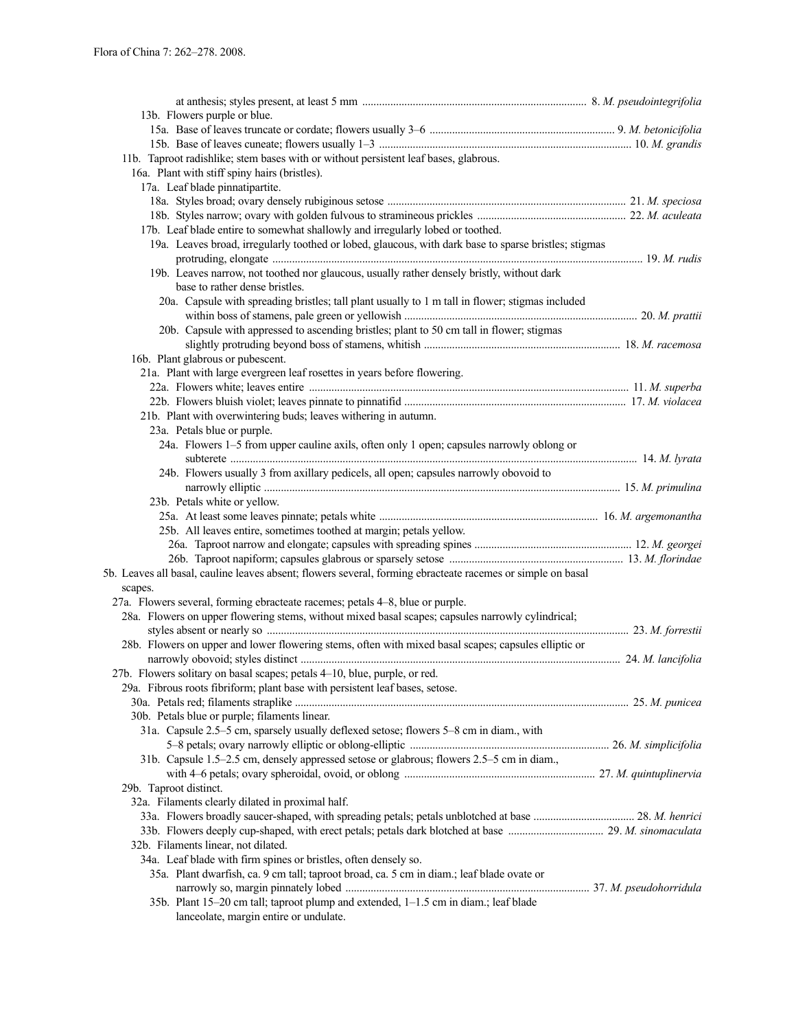| 13b. Flowers purple or blue.                                                                                |  |
|-------------------------------------------------------------------------------------------------------------|--|
|                                                                                                             |  |
|                                                                                                             |  |
| 11b. Taproot radishlike; stem bases with or without persistent leaf bases, glabrous.                        |  |
| 16a. Plant with stiff spiny hairs (bristles).                                                               |  |
| 17a. Leaf blade pinnatipartite.                                                                             |  |
|                                                                                                             |  |
|                                                                                                             |  |
| 17b. Leaf blade entire to somewhat shallowly and irregularly lobed or toothed.                              |  |
| 19a. Leaves broad, irregularly toothed or lobed, glaucous, with dark base to sparse bristles; stigmas       |  |
|                                                                                                             |  |
| 19b. Leaves narrow, not toothed nor glaucous, usually rather densely bristly, without dark                  |  |
| base to rather dense bristles.                                                                              |  |
| 20a. Capsule with spreading bristles; tall plant usually to 1 m tall in flower; stigmas included            |  |
|                                                                                                             |  |
| 20b. Capsule with appressed to ascending bristles; plant to 50 cm tall in flower; stigmas                   |  |
|                                                                                                             |  |
| 16b. Plant glabrous or pubescent.                                                                           |  |
| 21a. Plant with large evergreen leaf rosettes in years before flowering.                                    |  |
|                                                                                                             |  |
|                                                                                                             |  |
| 21b. Plant with overwintering buds; leaves withering in autumn.                                             |  |
| 23a. Petals blue or purple.                                                                                 |  |
| 24a. Flowers 1-5 from upper cauline axils, often only 1 open; capsules narrowly oblong or                   |  |
|                                                                                                             |  |
| 24b. Flowers usually 3 from axillary pedicels, all open; capsules narrowly obovoid to                       |  |
|                                                                                                             |  |
| 23b. Petals white or yellow.                                                                                |  |
|                                                                                                             |  |
| 25b. All leaves entire, sometimes toothed at margin; petals yellow.                                         |  |
|                                                                                                             |  |
|                                                                                                             |  |
| 5b. Leaves all basal, cauline leaves absent; flowers several, forming ebracteate racemes or simple on basal |  |
|                                                                                                             |  |
| scapes.<br>27a. Flowers several, forming ebracteate racemes; petals 4–8, blue or purple.                    |  |
| 28a. Flowers on upper flowering stems, without mixed basal scapes; capsules narrowly cylindrical;           |  |
|                                                                                                             |  |
| 28b. Flowers on upper and lower flowering stems, often with mixed basal scapes; capsules elliptic or        |  |
|                                                                                                             |  |
| 27b. Flowers solitary on basal scapes; petals 4-10, blue, purple, or red.                                   |  |
| 29a. Fibrous roots fibriform; plant base with persistent leaf bases, setose.                                |  |
|                                                                                                             |  |
| 30b. Petals blue or purple; filaments linear.                                                               |  |
| 31a. Capsule 2.5-5 cm, sparsely usually deflexed setose; flowers 5-8 cm in diam., with                      |  |
|                                                                                                             |  |
| 31b. Capsule 1.5–2.5 cm, densely appressed setose or glabrous; flowers 2.5–5 cm in diam.,                   |  |
|                                                                                                             |  |
|                                                                                                             |  |
| 29b. Taproot distinct.                                                                                      |  |
| 32a. Filaments clearly dilated in proximal half.                                                            |  |
|                                                                                                             |  |
|                                                                                                             |  |
| 32b. Filaments linear, not dilated.                                                                         |  |
| 34a. Leaf blade with firm spines or bristles, often densely so.                                             |  |
| 35a. Plant dwarfish, ca. 9 cm tall; taproot broad, ca. 5 cm in diam.; leaf blade ovate or                   |  |
|                                                                                                             |  |
| 35b. Plant 15-20 cm tall; taproot plump and extended, 1-1.5 cm in diam.; leaf blade                         |  |
| lanceolate, margin entire or undulate.                                                                      |  |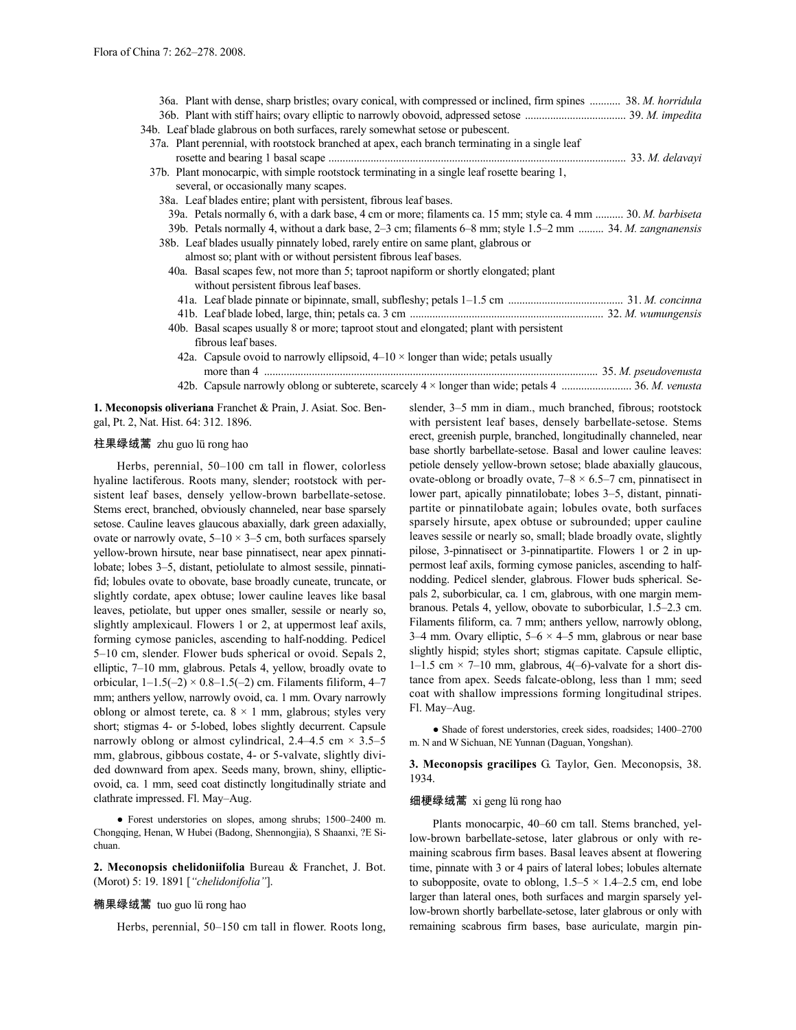| 36a. Plant with dense, sharp bristles; ovary conical, with compressed or inclined, firm spines  38. M. horridula |  |
|------------------------------------------------------------------------------------------------------------------|--|
|                                                                                                                  |  |
| 34b. Leaf blade glabrous on both surfaces, rarely somewhat setose or pubescent.                                  |  |
| 37a. Plant perennial, with rootstock branched at apex, each branch terminating in a single leaf                  |  |
|                                                                                                                  |  |
| 37b. Plant monocarpic, with simple rootstock terminating in a single leaf rosette bearing 1,                     |  |
| several, or occasionally many scapes.                                                                            |  |
| 38a. Leaf blades entire; plant with persistent, fibrous leaf bases.                                              |  |
| 39a. Petals normally 6, with a dark base, 4 cm or more; filaments ca. 15 mm; style ca. 4 mm  30. M. barbiseta    |  |
| 39b. Petals normally 4, without a dark base, 2–3 cm; filaments 6–8 mm; style 1.5–2 mm  34. M. zangnanensis       |  |
| 38b. Leaf blades usually pinnately lobed, rarely entire on same plant, glabrous or                               |  |
| almost so; plant with or without persistent fibrous leaf bases.                                                  |  |
| 40a. Basal scapes few, not more than 5; taproot napiform or shortly elongated; plant                             |  |
| without persistent fibrous leaf bases.                                                                           |  |
|                                                                                                                  |  |
|                                                                                                                  |  |
| 40b. Basal scapes usually 8 or more; taproot stout and elongated; plant with persistent                          |  |
| fibrous leaf bases.                                                                                              |  |
| 42a. Capsule ovoid to narrowly ellipsoid, $4-10 \times$ longer than wide; petals usually                         |  |
|                                                                                                                  |  |
| 42b. Capsule narrowly oblong or subterete, scarcely 4 × longer than wide; petals 4  36. M. venusta               |  |

**1. Meconopsis oliveriana** Franchet & Prain, J. Asiat. Soc. Bengal, Pt. 2, Nat. Hist. 64: 312. 1896.

# 柱果绿绒蒿 zhu guo lü rong hao

Herbs, perennial, 50–100 cm tall in flower, colorless hyaline lactiferous. Roots many, slender; rootstock with persistent leaf bases, densely yellow-brown barbellate-setose. Stems erect, branched, obviously channeled, near base sparsely setose. Cauline leaves glaucous abaxially, dark green adaxially, ovate or narrowly ovate,  $5-10 \times 3-5$  cm, both surfaces sparsely yellow-brown hirsute, near base pinnatisect, near apex pinnatilobate; lobes 3–5, distant, petiolulate to almost sessile, pinnatifid; lobules ovate to obovate, base broadly cuneate, truncate, or slightly cordate, apex obtuse; lower cauline leaves like basal leaves, petiolate, but upper ones smaller, sessile or nearly so, slightly amplexicaul. Flowers 1 or 2, at uppermost leaf axils, forming cymose panicles, ascending to half-nodding. Pedicel 5–10 cm, slender. Flower buds spherical or ovoid. Sepals 2, elliptic, 7–10 mm, glabrous. Petals 4, yellow, broadly ovate to orbicular,  $1-1.5(-2) \times 0.8-1.5(-2)$  cm. Filaments filiform,  $4-7$ mm; anthers yellow, narrowly ovoid, ca. 1 mm. Ovary narrowly oblong or almost terete, ca.  $8 \times 1$  mm, glabrous; styles very short; stigmas 4- or 5-lobed, lobes slightly decurrent. Capsule narrowly oblong or almost cylindrical,  $2.4-4.5$  cm  $\times$  3.5-5 mm, glabrous, gibbous costate, 4- or 5-valvate, slightly divided downward from apex. Seeds many, brown, shiny, ellipticovoid, ca. 1 mm, seed coat distinctly longitudinally striate and clathrate impressed. Fl. May–Aug.

● Forest understories on slopes, among shrubs; 1500–2400 m. Chongqing, Henan, W Hubei (Badong, Shennongjia), S Shaanxi, ?E Sichuan.

**2. Meconopsis chelidoniifolia** Bureau & Franchet, J. Bot. (Morot) 5: 19. 1891 [*"chelidonifolia"*].

#### 椭果绿绒蒿 tuo guo lü rong hao

Herbs, perennial, 50–150 cm tall in flower. Roots long,

slender, 3–5 mm in diam., much branched, fibrous; rootstock with persistent leaf bases, densely barbellate-setose. Stems erect, greenish purple, branched, longitudinally channeled, near base shortly barbellate-setose. Basal and lower cauline leaves: petiole densely yellow-brown setose; blade abaxially glaucous, ovate-oblong or broadly ovate,  $7-8 \times 6.5-7$  cm, pinnatisect in lower part, apically pinnatilobate; lobes 3–5, distant, pinnatipartite or pinnatilobate again; lobules ovate, both surfaces sparsely hirsute, apex obtuse or subrounded; upper cauline leaves sessile or nearly so, small; blade broadly ovate, slightly pilose, 3-pinnatisect or 3-pinnatipartite. Flowers 1 or 2 in uppermost leaf axils, forming cymose panicles, ascending to halfnodding. Pedicel slender, glabrous. Flower buds spherical. Sepals 2, suborbicular, ca. 1 cm, glabrous, with one margin membranous. Petals 4, yellow, obovate to suborbicular, 1.5–2.3 cm. Filaments filiform, ca. 7 mm; anthers yellow, narrowly oblong, 3–4 mm. Ovary elliptic,  $5-6 \times 4-5$  mm, glabrous or near base slightly hispid; styles short; stigmas capitate. Capsule elliptic, 1–1.5 cm  $\times$  7–10 mm, glabrous, 4(–6)-valvate for a short distance from apex. Seeds falcate-oblong, less than 1 mm; seed coat with shallow impressions forming longitudinal stripes. Fl. May–Aug.

● Shade of forest understories, creek sides, roadsides; 1400–2700 m. N and W Sichuan, NE Yunnan (Daguan, Yongshan).

**3. Meconopsis gracilipes** G. Taylor, Gen. Meconopsis, 38. 1934.

# 细梗绿绒蒿 xi geng lü rong hao

Plants monocarpic, 40–60 cm tall. Stems branched, yellow-brown barbellate-setose, later glabrous or only with remaining scabrous firm bases. Basal leaves absent at flowering time, pinnate with 3 or 4 pairs of lateral lobes; lobules alternate to subopposite, ovate to oblong,  $1.5-5 \times 1.4-2.5$  cm, end lobe larger than lateral ones, both surfaces and margin sparsely yellow-brown shortly barbellate-setose, later glabrous or only with remaining scabrous firm bases, base auriculate, margin pin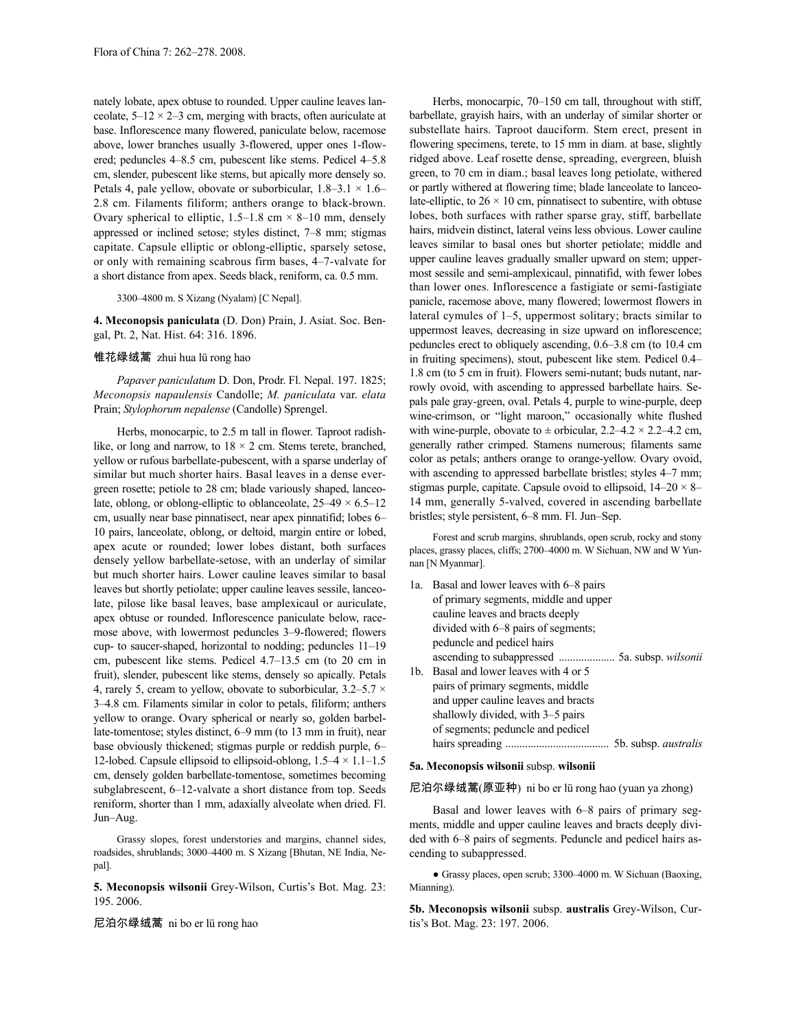nately lobate, apex obtuse to rounded. Upper cauline leaves lanceolate,  $5-12 \times 2-3$  cm, merging with bracts, often auriculate at base. Inflorescence many flowered, paniculate below, racemose above, lower branches usually 3-flowered, upper ones 1-flowered; peduncles 4–8.5 cm, pubescent like stems. Pedicel 4–5.8 cm, slender, pubescent like stems, but apically more densely so. Petals 4, pale yellow, obovate or suborbicular,  $1.8-3.1 \times 1.6-$ 2.8 cm. Filaments filiform; anthers orange to black-brown. Ovary spherical to elliptic,  $1.5-1.8$  cm  $\times$  8–10 mm, densely appressed or inclined setose; styles distinct, 7–8 mm; stigmas capitate. Capsule elliptic or oblong-elliptic, sparsely setose, or only with remaining scabrous firm bases, 4–7-valvate for a short distance from apex. Seeds black, reniform, ca. 0.5 mm.

## 3300–4800 m. S Xizang (Nyalam) [C Nepal].

**4. Meconopsis paniculata** (D. Don) Prain, J. Asiat. Soc. Bengal, Pt. 2, Nat. Hist. 64: 316. 1896.

# 锥花绿绒蒿 zhui hua lü rong hao

*Papaver paniculatum* D. Don, Prodr. Fl. Nepal. 197. 1825; *Meconopsis napaulensis* Candolle; *M. paniculata* var. *elata* Prain; *Stylophorum nepalense* (Candolle) Sprengel.

Herbs, monocarpic, to 2.5 m tall in flower. Taproot radishlike, or long and narrow, to  $18 \times 2$  cm. Stems terete, branched, yellow or rufous barbellate-pubescent, with a sparse underlay of similar but much shorter hairs. Basal leaves in a dense evergreen rosette; petiole to 28 cm; blade variously shaped, lanceolate, oblong, or oblong-elliptic to oblanceolate,  $25-49 \times 6.5-12$ cm, usually near base pinnatisect, near apex pinnatifid; lobes 6– 10 pairs, lanceolate, oblong, or deltoid, margin entire or lobed, apex acute or rounded; lower lobes distant, both surfaces densely yellow barbellate-setose, with an underlay of similar but much shorter hairs. Lower cauline leaves similar to basal leaves but shortly petiolate; upper cauline leaves sessile, lanceolate, pilose like basal leaves, base amplexicaul or auriculate, apex obtuse or rounded. Inflorescence paniculate below, racemose above, with lowermost peduncles 3–9-flowered; flowers cup- to saucer-shaped, horizontal to nodding; peduncles 11–19 cm, pubescent like stems. Pedicel 4.7–13.5 cm (to 20 cm in fruit), slender, pubescent like stems, densely so apically. Petals 4, rarely 5, cream to yellow, obovate to suborbicular,  $3.2-5.7 \times$ 3–4.8 cm. Filaments similar in color to petals, filiform; anthers yellow to orange. Ovary spherical or nearly so, golden barbellate-tomentose; styles distinct, 6–9 mm (to 13 mm in fruit), near base obviously thickened; stigmas purple or reddish purple, 6– 12-lobed. Capsule ellipsoid to ellipsoid-oblong, 1.5–4 × 1.1–1.5 cm, densely golden barbellate-tomentose, sometimes becoming subglabrescent, 6–12-valvate a short distance from top. Seeds reniform, shorter than 1 mm, adaxially alveolate when dried. Fl. Jun–Aug.

Grassy slopes, forest understories and margins, channel sides, roadsides, shrublands; 3000–4400 m. S Xizang [Bhutan, NE India, Nepal].

**5. Meconopsis wilsonii** Grey-Wilson, Curtis's Bot. Mag. 23: 195. 2006.

尼泊尔绿绒蒿 ni bo er lü rong hao

Herbs, monocarpic, 70–150 cm tall, throughout with stiff, barbellate, grayish hairs, with an underlay of similar shorter or substellate hairs. Taproot dauciform. Stem erect, present in flowering specimens, terete, to 15 mm in diam. at base, slightly ridged above. Leaf rosette dense, spreading, evergreen, bluish green, to 70 cm in diam.; basal leaves long petiolate, withered or partly withered at flowering time; blade lanceolate to lanceolate-elliptic, to  $26 \times 10$  cm, pinnatisect to subentire, with obtuse lobes, both surfaces with rather sparse gray, stiff, barbellate hairs, midvein distinct, lateral veins less obvious. Lower cauline leaves similar to basal ones but shorter petiolate; middle and upper cauline leaves gradually smaller upward on stem; uppermost sessile and semi-amplexicaul, pinnatifid, with fewer lobes than lower ones. Inflorescence a fastigiate or semi-fastigiate panicle, racemose above, many flowered; lowermost flowers in lateral cymules of 1–5, uppermost solitary; bracts similar to uppermost leaves, decreasing in size upward on inflorescence; peduncles erect to obliquely ascending, 0.6–3.8 cm (to 10.4 cm in fruiting specimens), stout, pubescent like stem. Pedicel 0.4– 1.8 cm (to 5 cm in fruit). Flowers semi-nutant; buds nutant, narrowly ovoid, with ascending to appressed barbellate hairs. Sepals pale gray-green, oval. Petals 4, purple to wine-purple, deep wine-crimson, or "light maroon," occasionally white flushed with wine-purple, obovate to  $\pm$  orbicular, 2.2–4.2 × 2.2–4.2 cm, generally rather crimped. Stamens numerous; filaments same color as petals; anthers orange to orange-yellow. Ovary ovoid, with ascending to appressed barbellate bristles; styles 4–7 mm; stigmas purple, capitate. Capsule ovoid to ellipsoid,  $14-20 \times 8-$ 14 mm, generally 5-valved, covered in ascending barbellate bristles; style persistent, 6–8 mm. Fl. Jun–Sep.

Forest and scrub margins, shrublands, open scrub, rocky and stony places, grassy places, cliffs; 2700–4000 m. W Sichuan, NW and W Yunnan [N Myanmar].

| 1a. | Basal and lower leaves with 6–8 pairs |
|-----|---------------------------------------|
|     | of primary segments, middle and upper |
|     | cauline leaves and bracts deeply      |
|     | divided with 6–8 pairs of segments;   |
|     | peduncle and pedicel hairs            |
|     |                                       |
| 1b. | Basal and lower leaves with 4 or 5    |
|     | pairs of primary segments, middle     |
|     | and upper cauline leaves and bracts   |
|     | shallowly divided, with 3–5 pairs     |
|     | of segments; peduncle and pedicel     |
|     | 5b. subsp. <i>australis</i>           |

#### **5a. Meconopsis wilsonii** subsp. **wilsonii**

尼泊尔绿绒蒿(原亚种) ni bo er lü rong hao (yuan ya zhong)

Basal and lower leaves with 6–8 pairs of primary segments, middle and upper cauline leaves and bracts deeply divided with 6–8 pairs of segments. Peduncle and pedicel hairs ascending to subappressed.

● Grassy places, open scrub; 3300–4000 m. W Sichuan (Baoxing, Mianning).

**5b. Meconopsis wilsonii** subsp. **australis** Grey-Wilson, Curtis's Bot. Mag. 23: 197. 2006.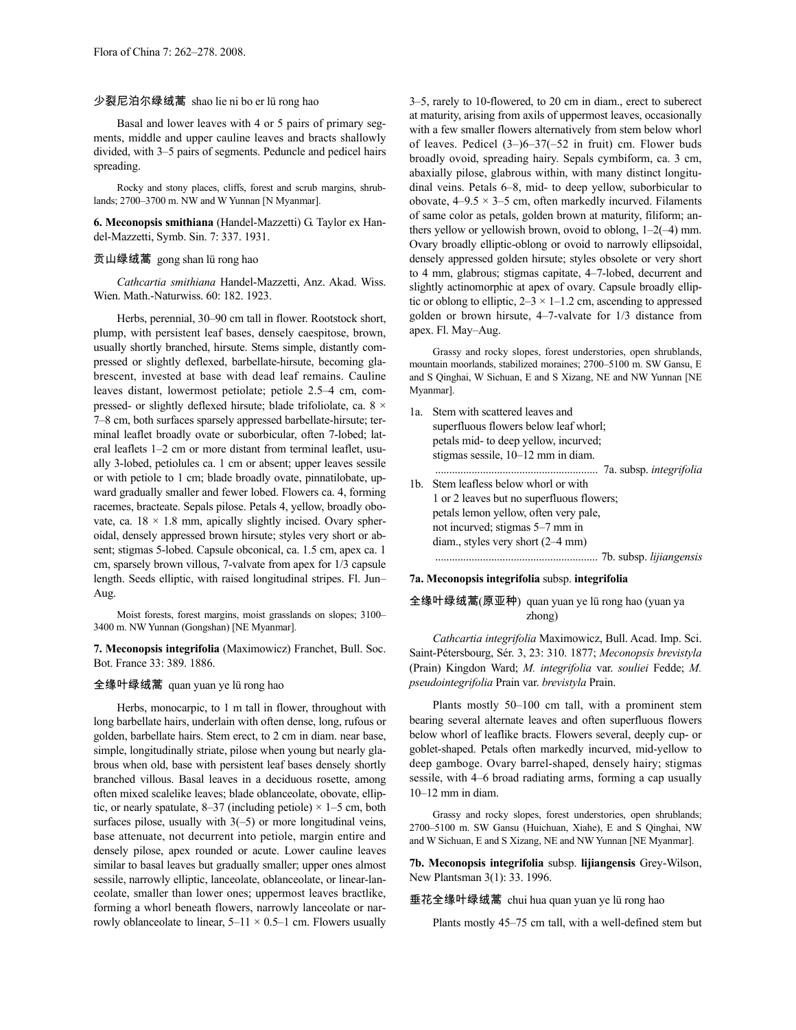# 少裂尼泊尔绿绒蒿 shao lie ni bo er lü rong hao

Basal and lower leaves with 4 or 5 pairs of primary segments, middle and upper cauline leaves and bracts shallowly divided, with 3–5 pairs of segments. Peduncle and pedicel hairs spreading.

Rocky and stony places, cliffs, forest and scrub margins, shrublands; 2700–3700 m. NW and W Yunnan [N Myanmar].

**6. Meconopsis smithiana** (Handel-Mazzetti) G. Taylor ex Handel-Mazzetti, Symb. Sin. 7: 337. 1931.

# 贡山绿绒蒿 gong shan lü rong hao

*Cathcartia smithiana* Handel-Mazzetti, Anz. Akad. Wiss. Wien. Math.-Naturwiss. 60: 182. 1923.

Herbs, perennial, 30–90 cm tall in flower. Rootstock short, plump, with persistent leaf bases, densely caespitose, brown, usually shortly branched, hirsute. Stems simple, distantly compressed or slightly deflexed, barbellate-hirsute, becoming glabrescent, invested at base with dead leaf remains. Cauline leaves distant, lowermost petiolate; petiole 2.5–4 cm, compressed- or slightly deflexed hirsute; blade trifoliolate, ca. 8 × 7–8 cm, both surfaces sparsely appressed barbellate-hirsute; terminal leaflet broadly ovate or suborbicular, often 7-lobed; lateral leaflets 1–2 cm or more distant from terminal leaflet, usually 3-lobed, petiolules ca. 1 cm or absent; upper leaves sessile or with petiole to 1 cm; blade broadly ovate, pinnatilobate, upward gradually smaller and fewer lobed. Flowers ca. 4, forming racemes, bracteate. Sepals pilose. Petals 4, yellow, broadly obovate, ca.  $18 \times 1.8$  mm, apically slightly incised. Ovary spheroidal, densely appressed brown hirsute; styles very short or absent; stigmas 5-lobed. Capsule obconical, ca. 1.5 cm, apex ca. 1 cm, sparsely brown villous, 7-valvate from apex for 1/3 capsule length. Seeds elliptic, with raised longitudinal stripes. Fl. Jun– Aug.

Moist forests, forest margins, moist grasslands on slopes; 3100– 3400 m. NW Yunnan (Gongshan) [NE Myanmar].

**7. Meconopsis integrifolia** (Maximowicz) Franchet, Bull. Soc. Bot. France 33: 389. 1886.

### 全缘叶绿绒蒿 quan yuan ye lü rong hao

Herbs, monocarpic, to 1 m tall in flower, throughout with long barbellate hairs, underlain with often dense, long, rufous or golden, barbellate hairs. Stem erect, to 2 cm in diam. near base, simple, longitudinally striate, pilose when young but nearly glabrous when old, base with persistent leaf bases densely shortly branched villous. Basal leaves in a deciduous rosette, among often mixed scalelike leaves; blade oblanceolate, obovate, elliptic, or nearly spatulate, 8–37 (including petiole)  $\times$  1–5 cm, both surfaces pilose, usually with  $3(-5)$  or more longitudinal veins, base attenuate, not decurrent into petiole, margin entire and densely pilose, apex rounded or acute. Lower cauline leaves similar to basal leaves but gradually smaller; upper ones almost sessile, narrowly elliptic, lanceolate, oblanceolate, or linear-lanceolate, smaller than lower ones; uppermost leaves bractlike, forming a whorl beneath flowers, narrowly lanceolate or narrowly oblanceolate to linear,  $5-11 \times 0.5-1$  cm. Flowers usually

3–5, rarely to 10-flowered, to 20 cm in diam., erect to suberect at maturity, arising from axils of uppermost leaves, occasionally with a few smaller flowers alternatively from stem below whorl of leaves. Pedicel (3–)6–37(–52 in fruit) cm. Flower buds broadly ovoid, spreading hairy. Sepals cymbiform, ca. 3 cm, abaxially pilose, glabrous within, with many distinct longitudinal veins. Petals 6–8, mid- to deep yellow, suborbicular to obovate,  $4-9.5 \times 3-5$  cm, often markedly incurved. Filaments of same color as petals, golden brown at maturity, filiform; anthers yellow or yellowish brown, ovoid to oblong, 1–2(–4) mm. Ovary broadly elliptic-oblong or ovoid to narrowly ellipsoidal, densely appressed golden hirsute; styles obsolete or very short to 4 mm, glabrous; stigmas capitate, 4–7-lobed, decurrent and slightly actinomorphic at apex of ovary. Capsule broadly elliptic or oblong to elliptic,  $2-3 \times 1-1.2$  cm, ascending to appressed golden or brown hirsute, 4–7-valvate for 1/3 distance from apex. Fl. May–Aug.

Grassy and rocky slopes, forest understories, open shrublands, mountain moorlands, stabilized moraines; 2700–5100 m. SW Gansu, E and S Qinghai, W Sichuan, E and S Xizang, NE and NW Yunnan [NE Myanmar].

1a. Stem with scattered leaves and superfluous flowers below leaf whorl; petals mid- to deep yellow, incurved; stigmas sessile, 10–12 mm in diam. .......................................................... 7a. subsp. *integrifolia* 1b. Stem leafless below whorl or with 1 or 2 leaves but no superfluous flowers; petals lemon yellow, often very pale, not incurved; stigmas 5–7 mm in diam., styles very short (2–4 mm) .......................................................... 7b. subsp. *lijiangensis*

### **7a. Meconopsis integrifolia** subsp. **integrifolia**

# 全缘叶绿绒蒿(原亚种) quan yuan ye lü rong hao (yuan ya zhong)

*Cathcartia integrifolia* Maximowicz, Bull. Acad. Imp. Sci. Saint-Pétersbourg, Sér. 3, 23: 310. 1877; *Meconopsis brevistyla* (Prain) Kingdon Ward; *M. integrifolia* var. *souliei* Fedde; *M. pseudointegrifolia* Prain var. *brevistyla* Prain.

Plants mostly 50–100 cm tall, with a prominent stem bearing several alternate leaves and often superfluous flowers below whorl of leaflike bracts. Flowers several, deeply cup- or goblet-shaped. Petals often markedly incurved, mid-yellow to deep gamboge. Ovary barrel-shaped, densely hairy; stigmas sessile, with 4–6 broad radiating arms, forming a cap usually 10–12 mm in diam.

Grassy and rocky slopes, forest understories, open shrublands; 2700–5100 m. SW Gansu (Huichuan, Xiahe), E and S Qinghai, NW and W Sichuan, E and S Xizang, NE and NW Yunnan [NE Myanmar].

**7b. Meconopsis integrifolia** subsp. **lijiangensis** Grey-Wilson, New Plantsman 3(1): 33. 1996.

垂花全缘叶绿绒蒿 chui hua quan yuan ye lü rong hao

Plants mostly 45–75 cm tall, with a well-defined stem but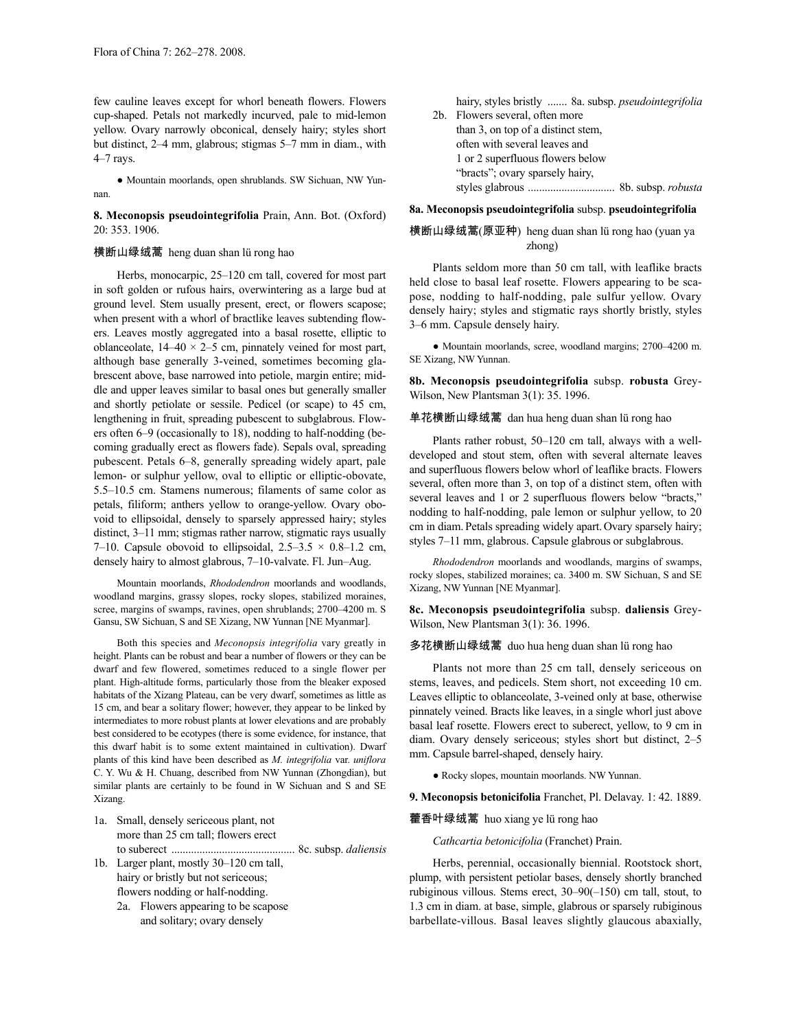few cauline leaves except for whorl beneath flowers. Flowers cup-shaped. Petals not markedly incurved, pale to mid-lemon yellow. Ovary narrowly obconical, densely hairy; styles short but distinct, 2–4 mm, glabrous; stigmas 5–7 mm in diam., with 4–7 rays.

● Mountain moorlands, open shrublands. SW Sichuan, NW Yunnan.

**8. Meconopsis pseudointegrifolia** Prain, Ann. Bot. (Oxford) 20: 353. 1906.

# 横断山绿绒蒿 heng duan shan lü rong hao

Herbs, monocarpic, 25–120 cm tall, covered for most part in soft golden or rufous hairs, overwintering as a large bud at ground level. Stem usually present, erect, or flowers scapose; when present with a whorl of bractlike leaves subtending flowers. Leaves mostly aggregated into a basal rosette, elliptic to oblanceolate,  $14-40 \times 2-5$  cm, pinnately veined for most part, although base generally 3-veined, sometimes becoming glabrescent above, base narrowed into petiole, margin entire; middle and upper leaves similar to basal ones but generally smaller and shortly petiolate or sessile. Pedicel (or scape) to 45 cm, lengthening in fruit, spreading pubescent to subglabrous. Flowers often 6–9 (occasionally to 18), nodding to half-nodding (becoming gradually erect as flowers fade). Sepals oval, spreading pubescent. Petals 6–8, generally spreading widely apart, pale lemon- or sulphur yellow, oval to elliptic or elliptic-obovate, 5.5–10.5 cm. Stamens numerous; filaments of same color as petals, filiform; anthers yellow to orange-yellow. Ovary obovoid to ellipsoidal, densely to sparsely appressed hairy; styles distinct, 3–11 mm; stigmas rather narrow, stigmatic rays usually 7–10. Capsule obovoid to ellipsoidal,  $2.5-3.5 \times 0.8-1.2$  cm, densely hairy to almost glabrous, 7–10-valvate. Fl. Jun–Aug.

Mountain moorlands, *Rhododendron* moorlands and woodlands, woodland margins, grassy slopes, rocky slopes, stabilized moraines, scree, margins of swamps, ravines, open shrublands; 2700–4200 m. S Gansu, SW Sichuan, S and SE Xizang, NW Yunnan [NE Myanmar].

Both this species and *Meconopsis integrifolia* vary greatly in height. Plants can be robust and bear a number of flowers or they can be dwarf and few flowered, sometimes reduced to a single flower per plant. High-altitude forms, particularly those from the bleaker exposed habitats of the Xizang Plateau, can be very dwarf, sometimes as little as 15 cm, and bear a solitary flower; however, they appear to be linked by intermediates to more robust plants at lower elevations and are probably best considered to be ecotypes (there is some evidence, for instance, that this dwarf habit is to some extent maintained in cultivation). Dwarf plants of this kind have been described as *M. integrifolia* var. *uniflora* C. Y. Wu & H. Chuang, described from NW Yunnan (Zhongdian), but similar plants are certainly to be found in W Sichuan and S and SE Xizang.

1a. Small, densely sericeous plant, not more than 25 cm tall; flowers erect to suberect ............................................ 8c. subsp. *daliensis*

- 1b. Larger plant, mostly 30–120 cm tall, hairy or bristly but not sericeous; flowers nodding or half-nodding.
	- 2a. Flowers appearing to be scapose and solitary; ovary densely

hairy, styles bristly ....... 8a. subsp. *pseudointegrifolia* 2b. Flowers several, often more than 3, on top of a distinct stem, often with several leaves and 1 or 2 superfluous flowers below "bracts"; ovary sparsely hairy, styles glabrous ............................... 8b. subsp. *robusta*

**8a. Meconopsis pseudointegrifolia** subsp. **pseudointegrifolia**

# 横断山绿绒蒿(原亚种) heng duan shan lü rong hao (yuan ya zhong)

Plants seldom more than 50 cm tall, with leaflike bracts held close to basal leaf rosette. Flowers appearing to be scapose, nodding to half-nodding, pale sulfur yellow. Ovary densely hairy; styles and stigmatic rays shortly bristly, styles 3–6 mm. Capsule densely hairy.

● Mountain moorlands, scree, woodland margins; 2700–4200 m. SE Xizang, NW Yunnan.

**8b. Meconopsis pseudointegrifolia** subsp. **robusta** Grey-Wilson, New Plantsman 3(1): 35. 1996.

#### 单花横断山绿绒蒿 dan hua heng duan shan lü rong hao

Plants rather robust, 50–120 cm tall, always with a welldeveloped and stout stem, often with several alternate leaves and superfluous flowers below whorl of leaflike bracts. Flowers several, often more than 3, on top of a distinct stem, often with several leaves and 1 or 2 superfluous flowers below "bracts," nodding to half-nodding, pale lemon or sulphur yellow, to 20 cm in diam. Petals spreading widely apart. Ovary sparsely hairy; styles 7–11 mm, glabrous. Capsule glabrous or subglabrous.

*Rhododendron* moorlands and woodlands, margins of swamps, rocky slopes, stabilized moraines; ca. 3400 m. SW Sichuan, S and SE Xizang, NW Yunnan [NE Myanmar].

**8c. Meconopsis pseudointegrifolia** subsp. **daliensis** Grey-Wilson, New Plantsman 3(1): 36. 1996.

多花横断山绿绒蒿 duo hua heng duan shan lü rong hao

Plants not more than 25 cm tall, densely sericeous on stems, leaves, and pedicels. Stem short, not exceeding 10 cm. Leaves elliptic to oblanceolate, 3-veined only at base, otherwise pinnately veined. Bracts like leaves, in a single whorl just above basal leaf rosette. Flowers erect to suberect, yellow, to 9 cm in diam. Ovary densely sericeous; styles short but distinct, 2–5 mm. Capsule barrel-shaped, densely hairy.

● Rocky slopes, mountain moorlands. NW Yunnan.

**9. Meconopsis betonicifolia** Franchet, Pl. Delavay. 1: 42. 1889.

藿香叶绿绒蒿 huo xiang ye lü rong hao

*Cathcartia betonicifolia* (Franchet) Prain.

Herbs, perennial, occasionally biennial. Rootstock short, plump, with persistent petiolar bases, densely shortly branched rubiginous villous. Stems erect, 30–90(–150) cm tall, stout, to 1.3 cm in diam. at base, simple, glabrous or sparsely rubiginous barbellate-villous. Basal leaves slightly glaucous abaxially,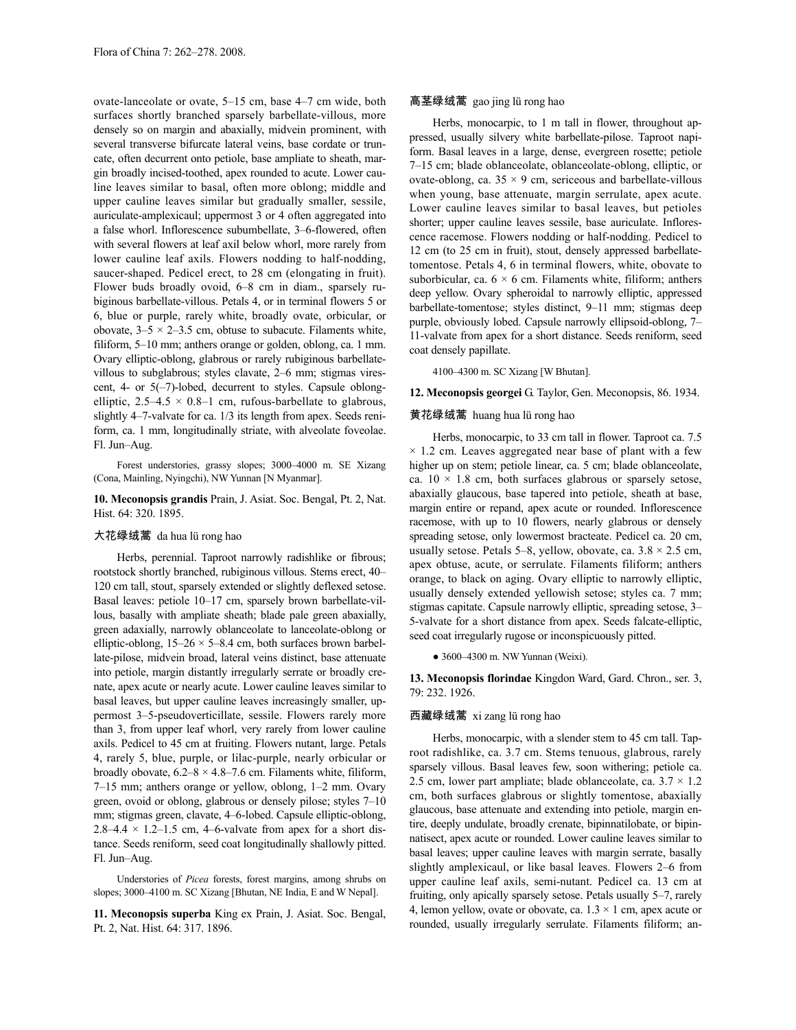ovate-lanceolate or ovate, 5–15 cm, base 4–7 cm wide, both surfaces shortly branched sparsely barbellate-villous, more densely so on margin and abaxially, midvein prominent, with several transverse bifurcate lateral veins, base cordate or truncate, often decurrent onto petiole, base ampliate to sheath, margin broadly incised-toothed, apex rounded to acute. Lower cauline leaves similar to basal, often more oblong; middle and upper cauline leaves similar but gradually smaller, sessile, auriculate-amplexicaul; uppermost 3 or 4 often aggregated into a false whorl. Inflorescence subumbellate, 3–6-flowered, often with several flowers at leaf axil below whorl, more rarely from lower cauline leaf axils. Flowers nodding to half-nodding, saucer-shaped. Pedicel erect, to 28 cm (elongating in fruit). Flower buds broadly ovoid, 6–8 cm in diam., sparsely rubiginous barbellate-villous. Petals 4, or in terminal flowers 5 or 6, blue or purple, rarely white, broadly ovate, orbicular, or obovate,  $3-5 \times 2-3.5$  cm, obtuse to subacute. Filaments white, filiform, 5–10 mm; anthers orange or golden, oblong, ca. 1 mm. Ovary elliptic-oblong, glabrous or rarely rubiginous barbellatevillous to subglabrous; styles clavate, 2–6 mm; stigmas virescent, 4- or 5(–7)-lobed, decurrent to styles. Capsule oblongelliptic,  $2.5-4.5 \times 0.8-1$  cm, rufous-barbellate to glabrous, slightly 4–7-valvate for ca. 1/3 its length from apex. Seeds reniform, ca. 1 mm, longitudinally striate, with alveolate foveolae. Fl. Jun–Aug.

Forest understories, grassy slopes; 3000–4000 m. SE Xizang (Cona, Mainling, Nyingchi), NW Yunnan [N Myanmar].

**10. Meconopsis grandis** Prain, J. Asiat. Soc. Bengal, Pt. 2, Nat. Hist. 64: 320. 1895.

# 大花绿绒蒿 da hua lü rong hao

Herbs, perennial. Taproot narrowly radishlike or fibrous; rootstock shortly branched, rubiginous villous. Stems erect, 40– 120 cm tall, stout, sparsely extended or slightly deflexed setose. Basal leaves: petiole 10–17 cm, sparsely brown barbellate-villous, basally with ampliate sheath; blade pale green abaxially, green adaxially, narrowly oblanceolate to lanceolate-oblong or elliptic-oblong,  $15-26 \times 5-8.4$  cm, both surfaces brown barbellate-pilose, midvein broad, lateral veins distinct, base attenuate into petiole, margin distantly irregularly serrate or broadly crenate, apex acute or nearly acute. Lower cauline leaves similar to basal leaves, but upper cauline leaves increasingly smaller, uppermost 3–5-pseudoverticillate, sessile. Flowers rarely more than 3, from upper leaf whorl, very rarely from lower cauline axils. Pedicel to 45 cm at fruiting. Flowers nutant, large. Petals 4, rarely 5, blue, purple, or lilac-purple, nearly orbicular or broadly obovate,  $6.2-8 \times 4.8-7.6$  cm. Filaments white, filiform, 7–15 mm; anthers orange or yellow, oblong, 1–2 mm. Ovary green, ovoid or oblong, glabrous or densely pilose; styles 7–10 mm; stigmas green, clavate, 4–6-lobed. Capsule elliptic-oblong, 2.8–4.4  $\times$  1.2–1.5 cm, 4–6-valvate from apex for a short distance. Seeds reniform, seed coat longitudinally shallowly pitted. Fl. Jun–Aug.

Understories of *Picea* forests, forest margins, among shrubs on slopes; 3000–4100 m. SC Xizang [Bhutan, NE India, E and W Nepal].

**11. Meconopsis superba** King ex Prain, J. Asiat. Soc. Bengal, Pt. 2, Nat. Hist. 64: 317. 1896.

# 高茎绿绒蒿 gao jing lü rong hao

Herbs, monocarpic, to 1 m tall in flower, throughout appressed, usually silvery white barbellate-pilose. Taproot napiform. Basal leaves in a large, dense, evergreen rosette; petiole 7–15 cm; blade oblanceolate, oblanceolate-oblong, elliptic, or ovate-oblong, ca.  $35 \times 9$  cm, sericeous and barbellate-villous when young, base attenuate, margin serrulate, apex acute. Lower cauline leaves similar to basal leaves, but petioles shorter; upper cauline leaves sessile, base auriculate. Inflorescence racemose. Flowers nodding or half-nodding. Pedicel to 12 cm (to 25 cm in fruit), stout, densely appressed barbellatetomentose. Petals 4, 6 in terminal flowers, white, obovate to suborbicular, ca.  $6 \times 6$  cm. Filaments white, filiform; anthers deep yellow. Ovary spheroidal to narrowly elliptic, appressed barbellate-tomentose; styles distinct, 9–11 mm; stigmas deep purple, obviously lobed. Capsule narrowly ellipsoid-oblong, 7– 11-valvate from apex for a short distance. Seeds reniform, seed coat densely papillate.

4100–4300 m. SC Xizang [W Bhutan].

**12. Meconopsis georgei** G. Taylor, Gen. Meconopsis, 86. 1934.

# 黄花绿绒蒿 huang hua lü rong hao

Herbs, monocarpic, to 33 cm tall in flower. Taproot ca. 7.5  $\times$  1.2 cm. Leaves aggregated near base of plant with a few higher up on stem; petiole linear, ca. 5 cm; blade oblanceolate, ca.  $10 \times 1.8$  cm, both surfaces glabrous or sparsely setose, abaxially glaucous, base tapered into petiole, sheath at base, margin entire or repand, apex acute or rounded. Inflorescence racemose, with up to 10 flowers, nearly glabrous or densely spreading setose, only lowermost bracteate. Pedicel ca. 20 cm, usually setose. Petals 5–8, yellow, obovate, ca.  $3.8 \times 2.5$  cm, apex obtuse, acute, or serrulate. Filaments filiform; anthers orange, to black on aging. Ovary elliptic to narrowly elliptic, usually densely extended yellowish setose; styles ca. 7 mm; stigmas capitate. Capsule narrowly elliptic, spreading setose, 3– 5-valvate for a short distance from apex. Seeds falcate-elliptic, seed coat irregularly rugose or inconspicuously pitted.

• 3600–4300 m. NW Yunnan (Weixi).

**13. Meconopsis florindae** Kingdon Ward, Gard. Chron., ser. 3, 79: 232. 1926.

# 西藏绿绒蒿 xi zang lü rong hao

Herbs, monocarpic, with a slender stem to 45 cm tall. Taproot radishlike, ca. 3.7 cm. Stems tenuous, glabrous, rarely sparsely villous. Basal leaves few, soon withering; petiole ca. 2.5 cm, lower part ampliate; blade oblanceolate, ca.  $3.7 \times 1.2$ cm, both surfaces glabrous or slightly tomentose, abaxially glaucous, base attenuate and extending into petiole, margin entire, deeply undulate, broadly crenate, bipinnatilobate, or bipinnatisect, apex acute or rounded. Lower cauline leaves similar to basal leaves; upper cauline leaves with margin serrate, basally slightly amplexicaul, or like basal leaves. Flowers 2–6 from upper cauline leaf axils, semi-nutant. Pedicel ca. 13 cm at fruiting, only apically sparsely setose. Petals usually 5–7, rarely 4, lemon yellow, ovate or obovate, ca.  $1.3 \times 1$  cm, apex acute or rounded, usually irregularly serrulate. Filaments filiform; an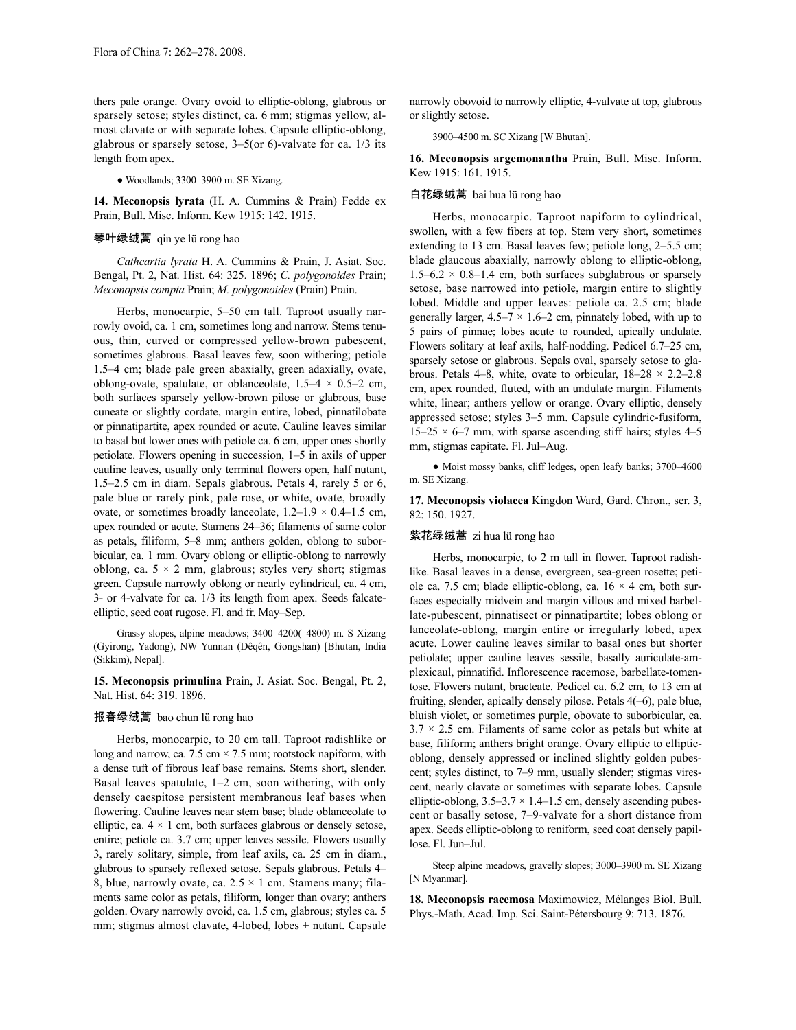thers pale orange. Ovary ovoid to elliptic-oblong, glabrous or sparsely setose; styles distinct, ca. 6 mm; stigmas yellow, almost clavate or with separate lobes. Capsule elliptic-oblong, glabrous or sparsely setose, 3–5(or 6)-valvate for ca. 1/3 its length from apex.

● Woodlands; 3300–3900 m. SE Xizang.

**14. Meconopsis lyrata** (H. A. Cummins & Prain) Fedde ex Prain, Bull. Misc. Inform. Kew 1915: 142. 1915.

### 琴叶绿绒蒿 qin ye lü rong hao

*Cathcartia lyrata* H. A. Cummins & Prain, J. Asiat. Soc. Bengal, Pt. 2, Nat. Hist. 64: 325. 1896; *C. polygonoides* Prain; *Meconopsis compta* Prain; *M. polygonoides* (Prain) Prain.

Herbs, monocarpic, 5–50 cm tall. Taproot usually narrowly ovoid, ca. 1 cm, sometimes long and narrow. Stems tenuous, thin, curved or compressed yellow-brown pubescent, sometimes glabrous. Basal leaves few, soon withering; petiole 1.5–4 cm; blade pale green abaxially, green adaxially, ovate, oblong-ovate, spatulate, or oblanceolate,  $1.5-4 \times 0.5-2$  cm, both surfaces sparsely yellow-brown pilose or glabrous, base cuneate or slightly cordate, margin entire, lobed, pinnatilobate or pinnatipartite, apex rounded or acute. Cauline leaves similar to basal but lower ones with petiole ca. 6 cm, upper ones shortly petiolate. Flowers opening in succession, 1–5 in axils of upper cauline leaves, usually only terminal flowers open, half nutant, 1.5–2.5 cm in diam. Sepals glabrous. Petals 4, rarely 5 or 6, pale blue or rarely pink, pale rose, or white, ovate, broadly ovate, or sometimes broadly lanceolate,  $1.2-1.9 \times 0.4-1.5$  cm, apex rounded or acute. Stamens 24–36; filaments of same color as petals, filiform, 5–8 mm; anthers golden, oblong to suborbicular, ca. 1 mm. Ovary oblong or elliptic-oblong to narrowly oblong, ca.  $5 \times 2$  mm, glabrous; styles very short; stigmas green. Capsule narrowly oblong or nearly cylindrical, ca. 4 cm, 3- or 4-valvate for ca. 1/3 its length from apex. Seeds falcateelliptic, seed coat rugose. Fl. and fr. May–Sep.

Grassy slopes, alpine meadows; 3400–4200(–4800) m. S Xizang (Gyirong, Yadong), NW Yunnan (Dêqên, Gongshan) [Bhutan, India (Sikkim), Nepal].

**15. Meconopsis primulina** Prain, J. Asiat. Soc. Bengal, Pt. 2, Nat. Hist. 64: 319. 1896.

# 报春绿绒蒿 bao chun lü rong hao

Herbs, monocarpic, to 20 cm tall. Taproot radishlike or long and narrow, ca. 7.5 cm  $\times$  7.5 mm; rootstock napiform, with a dense tuft of fibrous leaf base remains. Stems short, slender. Basal leaves spatulate, 1–2 cm, soon withering, with only densely caespitose persistent membranous leaf bases when flowering. Cauline leaves near stem base; blade oblanceolate to elliptic, ca.  $4 \times 1$  cm, both surfaces glabrous or densely setose, entire; petiole ca. 3.7 cm; upper leaves sessile. Flowers usually 3, rarely solitary, simple, from leaf axils, ca. 25 cm in diam., glabrous to sparsely reflexed setose. Sepals glabrous. Petals 4– 8, blue, narrowly ovate, ca.  $2.5 \times 1$  cm. Stamens many; filaments same color as petals, filiform, longer than ovary; anthers golden. Ovary narrowly ovoid, ca. 1.5 cm, glabrous; styles ca. 5 mm; stigmas almost clavate, 4-lobed, lobes  $\pm$  nutant. Capsule

narrowly obovoid to narrowly elliptic, 4-valvate at top, glabrous or slightly setose.

3900–4500 m. SC Xizang [W Bhutan].

**16. Meconopsis argemonantha** Prain, Bull. Misc. Inform. Kew 1915: 161. 1915.

### 白花绿绒蒿 bai hua lü rong hao

Herbs, monocarpic. Taproot napiform to cylindrical, swollen, with a few fibers at top. Stem very short, sometimes extending to 13 cm. Basal leaves few; petiole long, 2–5.5 cm; blade glaucous abaxially, narrowly oblong to elliptic-oblong,  $1.5-6.2 \times 0.8-1.4$  cm, both surfaces subglabrous or sparsely setose, base narrowed into petiole, margin entire to slightly lobed. Middle and upper leaves: petiole ca. 2.5 cm; blade generally larger,  $4.5-7 \times 1.6-2$  cm, pinnately lobed, with up to 5 pairs of pinnae; lobes acute to rounded, apically undulate. Flowers solitary at leaf axils, half-nodding. Pedicel 6.7–25 cm, sparsely setose or glabrous. Sepals oval, sparsely setose to glabrous. Petals 4–8, white, ovate to orbicular,  $18-28 \times 2.2-2.8$ cm, apex rounded, fluted, with an undulate margin. Filaments white, linear; anthers yellow or orange. Ovary elliptic, densely appressed setose; styles 3–5 mm. Capsule cylindric-fusiform,  $15-25 \times 6-7$  mm, with sparse ascending stiff hairs; styles  $4-5$ mm, stigmas capitate. Fl. Jul–Aug.

● Moist mossy banks, cliff ledges, open leafy banks; 3700–4600 m. SE Xizang.

**17. Meconopsis violacea** Kingdon Ward, Gard. Chron., ser. 3, 82: 150. 1927.

# 紫花绿绒蒿 zi hua lü rong hao

Herbs, monocarpic, to 2 m tall in flower. Taproot radishlike. Basal leaves in a dense, evergreen, sea-green rosette; petiole ca. 7.5 cm; blade elliptic-oblong, ca.  $16 \times 4$  cm, both surfaces especially midvein and margin villous and mixed barbellate-pubescent, pinnatisect or pinnatipartite; lobes oblong or lanceolate-oblong, margin entire or irregularly lobed, apex acute. Lower cauline leaves similar to basal ones but shorter petiolate; upper cauline leaves sessile, basally auriculate-amplexicaul, pinnatifid. Inflorescence racemose, barbellate-tomentose. Flowers nutant, bracteate. Pedicel ca. 6.2 cm, to 13 cm at fruiting, slender, apically densely pilose. Petals 4(–6), pale blue, bluish violet, or sometimes purple, obovate to suborbicular, ca.  $3.7 \times 2.5$  cm. Filaments of same color as petals but white at base, filiform; anthers bright orange. Ovary elliptic to ellipticoblong, densely appressed or inclined slightly golden pubescent; styles distinct, to 7–9 mm, usually slender; stigmas virescent, nearly clavate or sometimes with separate lobes. Capsule elliptic-oblong,  $3.5-3.7 \times 1.4-1.5$  cm, densely ascending pubescent or basally setose, 7–9-valvate for a short distance from apex. Seeds elliptic-oblong to reniform, seed coat densely papillose. Fl. Jun–Jul.

Steep alpine meadows, gravelly slopes; 3000–3900 m. SE Xizang [N Myanmar].

**18. Meconopsis racemosa** Maximowicz, Mélanges Biol. Bull. Phys.-Math. Acad. Imp. Sci. Saint-Pétersbourg 9: 713. 1876.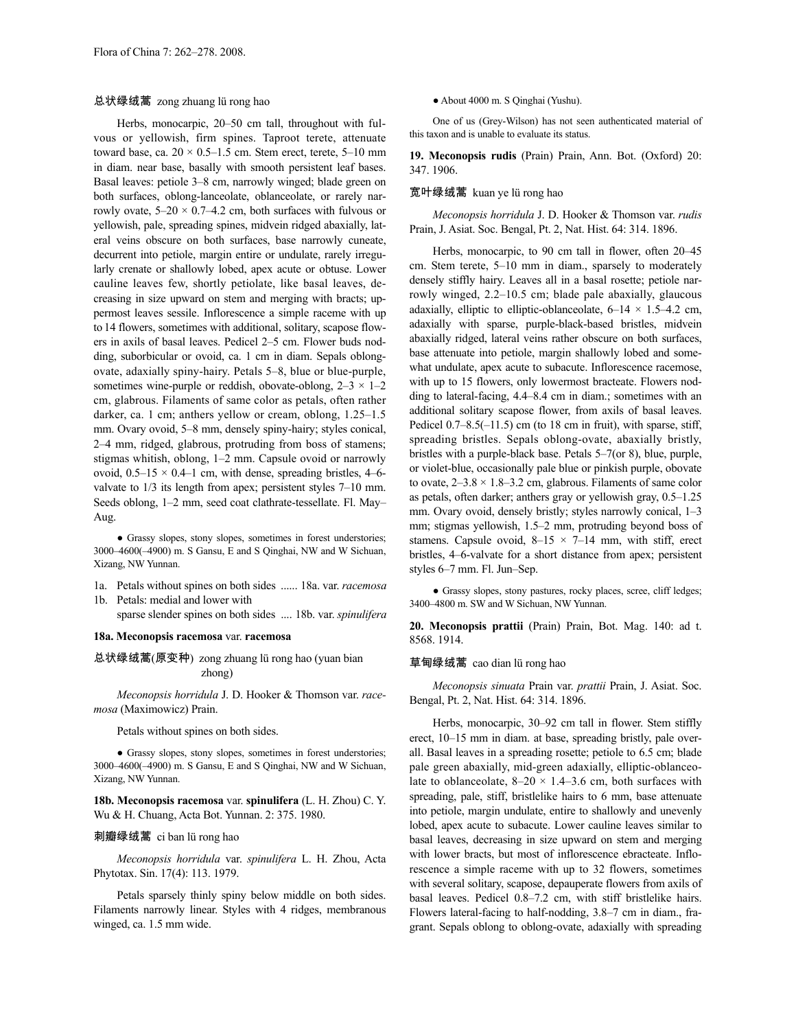### 总状绿绒蒿 zong zhuang lü rong hao

Herbs, monocarpic, 20–50 cm tall, throughout with fulvous or yellowish, firm spines. Taproot terete, attenuate toward base, ca.  $20 \times 0.5$ –1.5 cm. Stem erect, terete, 5–10 mm in diam. near base, basally with smooth persistent leaf bases. Basal leaves: petiole 3–8 cm, narrowly winged; blade green on both surfaces, oblong-lanceolate, oblanceolate, or rarely narrowly ovate,  $5-20 \times 0.7-4.2$  cm, both surfaces with fulvous or yellowish, pale, spreading spines, midvein ridged abaxially, lateral veins obscure on both surfaces, base narrowly cuneate, decurrent into petiole, margin entire or undulate, rarely irregularly crenate or shallowly lobed, apex acute or obtuse. Lower cauline leaves few, shortly petiolate, like basal leaves, decreasing in size upward on stem and merging with bracts; uppermost leaves sessile. Inflorescence a simple raceme with up to 14 flowers, sometimes with additional, solitary, scapose flowers in axils of basal leaves. Pedicel 2–5 cm. Flower buds nodding, suborbicular or ovoid, ca. 1 cm in diam. Sepals oblongovate, adaxially spiny-hairy. Petals 5–8, blue or blue-purple, sometimes wine-purple or reddish, obovate-oblong,  $2-3 \times 1-2$ cm, glabrous. Filaments of same color as petals, often rather darker, ca. 1 cm; anthers yellow or cream, oblong, 1.25–1.5 mm. Ovary ovoid, 5–8 mm, densely spiny-hairy; styles conical, 2–4 mm, ridged, glabrous, protruding from boss of stamens; stigmas whitish, oblong, 1–2 mm. Capsule ovoid or narrowly ovoid,  $0.5-15 \times 0.4-1$  cm, with dense, spreading bristles,  $4-6$ valvate to 1/3 its length from apex; persistent styles 7–10 mm. Seeds oblong, 1–2 mm, seed coat clathrate-tessellate. Fl. May– Aug.

● Grassy slopes, stony slopes, sometimes in forest understories; 3000–4600(–4900) m. S Gansu, E and S Qinghai, NW and W Sichuan, Xizang, NW Yunnan.

1a. Petals without spines on both sides ...... 18a. var. *racemosa* 1b. Petals: medial and lower with

sparse slender spines on both sides .... 18b. var. *spinulifera*

#### **18a. Meconopsis racemosa** var. **racemosa**

总状绿绒蒿(原变种) zong zhuang lü rong hao (yuan bian zhong)

*Meconopsis horridula* J. D. Hooker & Thomson var. *racemosa* (Maximowicz) Prain.

Petals without spines on both sides.

● Grassy slopes, stony slopes, sometimes in forest understories; 3000–4600(–4900) m. S Gansu, E and S Qinghai, NW and W Sichuan, Xizang, NW Yunnan.

**18b. Meconopsis racemosa** var. **spinulifera** (L. H. Zhou) C. Y. Wu & H. Chuang, Acta Bot. Yunnan. 2: 375. 1980.

#### 刺瓣绿绒蒿 ci ban lü rong hao

*Meconopsis horridula* var. *spinulifera* L. H. Zhou, Acta Phytotax. Sin. 17(4): 113. 1979.

Petals sparsely thinly spiny below middle on both sides. Filaments narrowly linear. Styles with 4 ridges, membranous winged, ca. 1.5 mm wide.

● About 4000 m. S Qinghai (Yushu).

One of us (Grey-Wilson) has not seen authenticated material of this taxon and is unable to evaluate its status.

**19. Meconopsis rudis** (Prain) Prain, Ann. Bot. (Oxford) 20: 347. 1906.

### 宽叶绿绒蒿 kuan ye lü rong hao

*Meconopsis horridula* J. D. Hooker & Thomson var. *rudis* Prain, J. Asiat. Soc. Bengal, Pt. 2, Nat. Hist. 64: 314. 1896.

Herbs, monocarpic, to 90 cm tall in flower, often 20–45 cm. Stem terete, 5–10 mm in diam., sparsely to moderately densely stiffly hairy. Leaves all in a basal rosette; petiole narrowly winged, 2.2–10.5 cm; blade pale abaxially, glaucous adaxially, elliptic to elliptic-oblanceolate,  $6-14 \times 1.5-4.2$  cm, adaxially with sparse, purple-black-based bristles, midvein abaxially ridged, lateral veins rather obscure on both surfaces, base attenuate into petiole, margin shallowly lobed and somewhat undulate, apex acute to subacute. Inflorescence racemose, with up to 15 flowers, only lowermost bracteate. Flowers nodding to lateral-facing, 4.4–8.4 cm in diam.; sometimes with an additional solitary scapose flower, from axils of basal leaves. Pedicel  $0.7-8.5(-11.5)$  cm (to 18 cm in fruit), with sparse, stiff, spreading bristles. Sepals oblong-ovate, abaxially bristly, bristles with a purple-black base. Petals 5–7(or 8), blue, purple, or violet-blue, occasionally pale blue or pinkish purple, obovate to ovate,  $2-3.8 \times 1.8-3.2$  cm, glabrous. Filaments of same color as petals, often darker; anthers gray or yellowish gray, 0.5–1.25 mm. Ovary ovoid, densely bristly; styles narrowly conical, 1–3 mm; stigmas yellowish, 1.5–2 mm, protruding beyond boss of stamens. Capsule ovoid,  $8-15 \times 7-14$  mm, with stiff, erect bristles, 4–6-valvate for a short distance from apex; persistent styles 6–7 mm. Fl. Jun–Sep.

• Grassy slopes, stony pastures, rocky places, scree, cliff ledges; 3400–4800 m. SW and W Sichuan, NW Yunnan.

**20. Meconopsis prattii** (Prain) Prain, Bot. Mag. 140: ad t. 8568. 1914.

#### 草甸绿绒蒿 cao dian lü rong hao

*Meconopsis sinuata* Prain var. *prattii* Prain, J. Asiat. Soc. Bengal, Pt. 2, Nat. Hist. 64: 314. 1896.

Herbs, monocarpic, 30–92 cm tall in flower. Stem stiffly erect, 10–15 mm in diam. at base, spreading bristly, pale overall. Basal leaves in a spreading rosette; petiole to 6.5 cm; blade pale green abaxially, mid-green adaxially, elliptic-oblanceolate to oblanceolate,  $8-20 \times 1.4-3.6$  cm, both surfaces with spreading, pale, stiff, bristlelike hairs to 6 mm, base attenuate into petiole, margin undulate, entire to shallowly and unevenly lobed, apex acute to subacute. Lower cauline leaves similar to basal leaves, decreasing in size upward on stem and merging with lower bracts, but most of inflorescence ebracteate. Inflorescence a simple raceme with up to 32 flowers, sometimes with several solitary, scapose, depauperate flowers from axils of basal leaves. Pedicel 0.8–7.2 cm, with stiff bristlelike hairs. Flowers lateral-facing to half-nodding, 3.8–7 cm in diam., fragrant. Sepals oblong to oblong-ovate, adaxially with spreading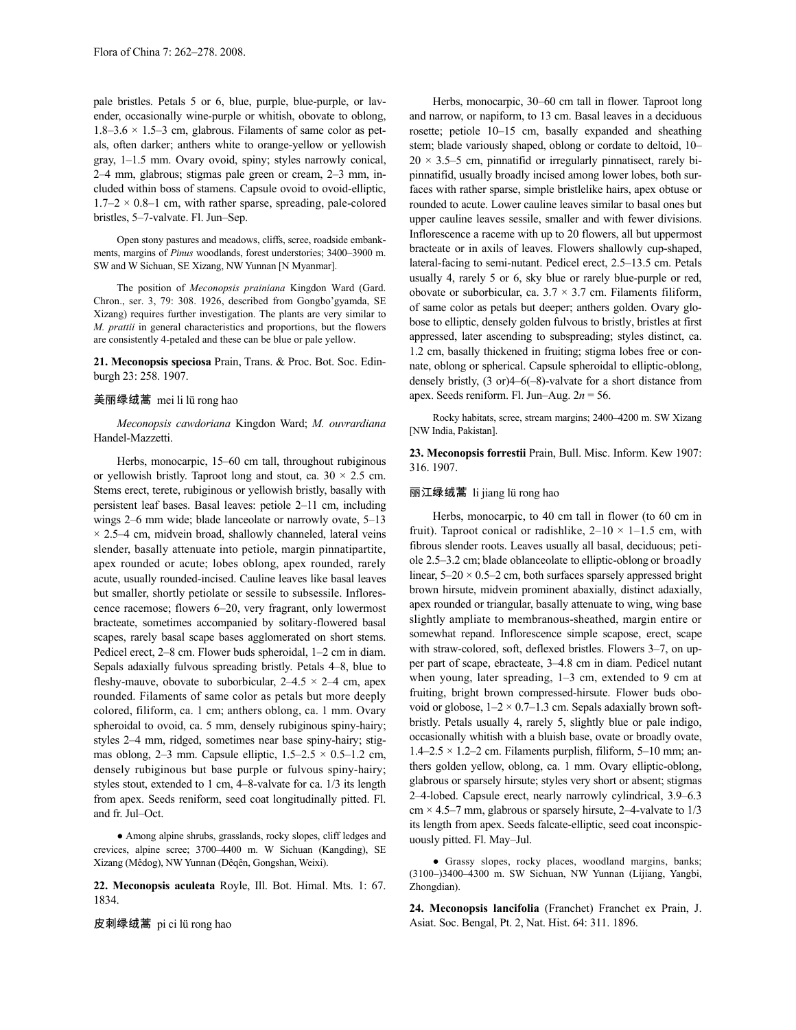pale bristles. Petals 5 or 6, blue, purple, blue-purple, or lavender, occasionally wine-purple or whitish, obovate to oblong, 1.8–3.6  $\times$  1.5–3 cm, glabrous. Filaments of same color as petals, often darker; anthers white to orange-yellow or yellowish gray, 1–1.5 mm. Ovary ovoid, spiny; styles narrowly conical, 2–4 mm, glabrous; stigmas pale green or cream, 2–3 mm, included within boss of stamens. Capsule ovoid to ovoid-elliptic,  $1.7-2 \times 0.8-1$  cm, with rather sparse, spreading, pale-colored bristles, 5–7-valvate. Fl. Jun–Sep.

Open stony pastures and meadows, cliffs, scree, roadside embankments, margins of *Pinus* woodlands, forest understories; 3400–3900 m. SW and W Sichuan, SE Xizang, NW Yunnan [N Myanmar].

The position of *Meconopsis prainiana* Kingdon Ward (Gard. Chron., ser. 3, 79: 308. 1926, described from Gongbo'gyamda, SE Xizang) requires further investigation. The plants are very similar to *M. prattii* in general characteristics and proportions, but the flowers are consistently 4-petaled and these can be blue or pale yellow.

**21. Meconopsis speciosa** Prain, Trans. & Proc. Bot. Soc. Edinburgh 23: 258. 1907.

# 美丽绿绒蒿 mei li lü rong hao

*Meconopsis cawdoriana* Kingdon Ward; *M. ouvrardiana* Handel-Mazzetti.

Herbs, monocarpic, 15–60 cm tall, throughout rubiginous or yellowish bristly. Taproot long and stout, ca.  $30 \times 2.5$  cm. Stems erect, terete, rubiginous or yellowish bristly, basally with persistent leaf bases. Basal leaves: petiole 2–11 cm, including wings 2–6 mm wide; blade lanceolate or narrowly ovate, 5–13  $\times$  2.5–4 cm, midvein broad, shallowly channeled, lateral veins slender, basally attenuate into petiole, margin pinnatipartite, apex rounded or acute; lobes oblong, apex rounded, rarely acute, usually rounded-incised. Cauline leaves like basal leaves but smaller, shortly petiolate or sessile to subsessile. Inflorescence racemose; flowers 6–20, very fragrant, only lowermost bracteate, sometimes accompanied by solitary-flowered basal scapes, rarely basal scape bases agglomerated on short stems. Pedicel erect, 2–8 cm. Flower buds spheroidal, 1–2 cm in diam. Sepals adaxially fulvous spreading bristly. Petals 4–8, blue to fleshy-mauve, obovate to suborbicular,  $2-4.5 \times 2-4$  cm, apex rounded. Filaments of same color as petals but more deeply colored, filiform, ca. 1 cm; anthers oblong, ca. 1 mm. Ovary spheroidal to ovoid, ca. 5 mm, densely rubiginous spiny-hairy; styles 2–4 mm, ridged, sometimes near base spiny-hairy; stigmas oblong, 2–3 mm. Capsule elliptic,  $1.5-2.5 \times 0.5-1.2$  cm, densely rubiginous but base purple or fulvous spiny-hairy; styles stout, extended to 1 cm, 4–8-valvate for ca. 1/3 its length from apex. Seeds reniform, seed coat longitudinally pitted. Fl. and fr. Jul–Oct.

● Among alpine shrubs, grasslands, rocky slopes, cliff ledges and crevices, alpine scree; 3700–4400 m. W Sichuan (Kangding), SE Xizang (Mêdog), NW Yunnan (Dêqên, Gongshan, Weixi).

**22. Meconopsis aculeata** Royle, Ill. Bot. Himal. Mts. 1: 67. 1834.

皮刺绿绒蒿 pi ci lü rong hao

Herbs, monocarpic, 30–60 cm tall in flower. Taproot long and narrow, or napiform, to 13 cm. Basal leaves in a deciduous rosette; petiole 10–15 cm, basally expanded and sheathing stem; blade variously shaped, oblong or cordate to deltoid, 10–  $20 \times 3.5$  cm, pinnatifid or irregularly pinnatisect, rarely bipinnatifid, usually broadly incised among lower lobes, both surfaces with rather sparse, simple bristlelike hairs, apex obtuse or rounded to acute. Lower cauline leaves similar to basal ones but upper cauline leaves sessile, smaller and with fewer divisions. Inflorescence a raceme with up to 20 flowers, all but uppermost bracteate or in axils of leaves. Flowers shallowly cup-shaped, lateral-facing to semi-nutant. Pedicel erect, 2.5–13.5 cm. Petals usually 4, rarely 5 or 6, sky blue or rarely blue-purple or red, obovate or suborbicular, ca.  $3.7 \times 3.7$  cm. Filaments filiform, of same color as petals but deeper; anthers golden. Ovary globose to elliptic, densely golden fulvous to bristly, bristles at first appressed, later ascending to subspreading; styles distinct, ca. 1.2 cm, basally thickened in fruiting; stigma lobes free or connate, oblong or spherical. Capsule spheroidal to elliptic-oblong, densely bristly, (3 or)4–6(–8)-valvate for a short distance from apex. Seeds reniform. Fl. Jun–Aug. 2*n* = 56.

Rocky habitats, scree, stream margins; 2400–4200 m. SW Xizang [NW India, Pakistan].

**23. Meconopsis forrestii** Prain, Bull. Misc. Inform. Kew 1907: 316. 1907.

# 丽江绿绒蒿 li jiang lü rong hao

Herbs, monocarpic, to 40 cm tall in flower (to 60 cm in fruit). Taproot conical or radishlike,  $2-10 \times 1-1.5$  cm, with fibrous slender roots. Leaves usually all basal, deciduous; petiole 2.5–3.2 cm; blade oblanceolate to elliptic-oblong or broadly linear,  $5-20 \times 0.5-2$  cm, both surfaces sparsely appressed bright brown hirsute, midvein prominent abaxially, distinct adaxially, apex rounded or triangular, basally attenuate to wing, wing base slightly ampliate to membranous-sheathed, margin entire or somewhat repand. Inflorescence simple scapose, erect, scape with straw-colored, soft, deflexed bristles. Flowers 3–7, on upper part of scape, ebracteate, 3–4.8 cm in diam. Pedicel nutant when young, later spreading, 1–3 cm, extended to 9 cm at fruiting, bright brown compressed-hirsute. Flower buds obovoid or globose,  $1-2 \times 0.7-1.3$  cm. Sepals adaxially brown softbristly. Petals usually 4, rarely 5, slightly blue or pale indigo, occasionally whitish with a bluish base, ovate or broadly ovate,  $1.4-2.5 \times 1.2-2$  cm. Filaments purplish, filiform, 5-10 mm; anthers golden yellow, oblong, ca. 1 mm. Ovary elliptic-oblong, glabrous or sparsely hirsute; styles very short or absent; stigmas 2–4-lobed. Capsule erect, nearly narrowly cylindrical, 3.9–6.3  $cm \times 4.5-7$  mm, glabrous or sparsely hirsute, 2-4-valvate to 1/3 its length from apex. Seeds falcate-elliptic, seed coat inconspicuously pitted. Fl. May–Jul.

● Grassy slopes, rocky places, woodland margins, banks; (3100–)3400–4300 m. SW Sichuan, NW Yunnan (Lijiang, Yangbi, Zhongdian).

**24. Meconopsis lancifolia** (Franchet) Franchet ex Prain, J. Asiat. Soc. Bengal, Pt. 2, Nat. Hist. 64: 311. 1896.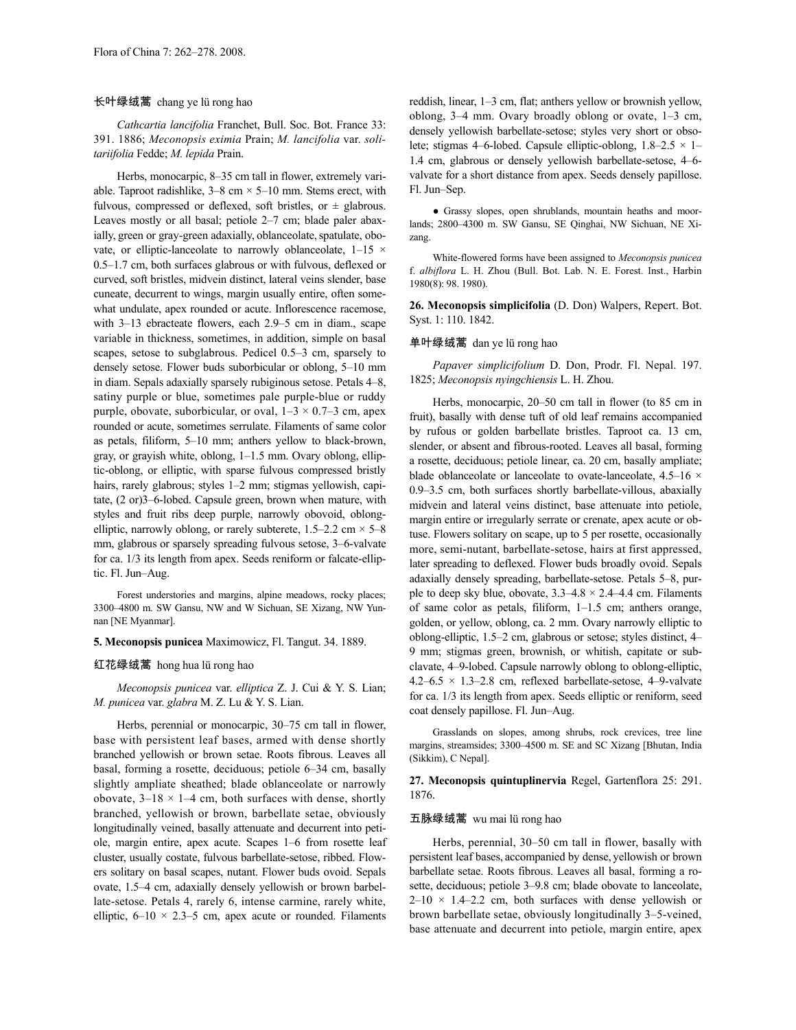# 长叶绿绒蒿 chang ye lü rong hao

*Cathcartia lancifolia* Franchet, Bull. Soc. Bot. France 33: 391. 1886; *Meconopsis eximia* Prain; *M. lancifolia* var. *solitariifolia* Fedde; *M. lepida* Prain.

Herbs, monocarpic, 8–35 cm tall in flower, extremely variable. Taproot radishlike,  $3-8$  cm  $\times$  5-10 mm. Stems erect, with fulvous, compressed or deflexed, soft bristles, or  $\pm$  glabrous. Leaves mostly or all basal; petiole 2–7 cm; blade paler abaxially, green or gray-green adaxially, oblanceolate, spatulate, obovate, or elliptic-lanceolate to narrowly oblanceolate,  $1-15 \times$ 0.5–1.7 cm, both surfaces glabrous or with fulvous, deflexed or curved, soft bristles, midvein distinct, lateral veins slender, base cuneate, decurrent to wings, margin usually entire, often somewhat undulate, apex rounded or acute. Inflorescence racemose, with 3–13 ebracteate flowers, each 2.9–5 cm in diam., scape variable in thickness, sometimes, in addition, simple on basal scapes, setose to subglabrous. Pedicel 0.5–3 cm, sparsely to densely setose. Flower buds suborbicular or oblong, 5–10 mm in diam. Sepals adaxially sparsely rubiginous setose. Petals 4–8, satiny purple or blue, sometimes pale purple-blue or ruddy purple, obovate, suborbicular, or oval,  $1-3 \times 0.7-3$  cm, apex rounded or acute, sometimes serrulate. Filaments of same color as petals, filiform, 5–10 mm; anthers yellow to black-brown, gray, or grayish white, oblong, 1–1.5 mm. Ovary oblong, elliptic-oblong, or elliptic, with sparse fulvous compressed bristly hairs, rarely glabrous; styles 1–2 mm; stigmas yellowish, capitate, (2 or)3–6-lobed. Capsule green, brown when mature, with styles and fruit ribs deep purple, narrowly obovoid, oblongelliptic, narrowly oblong, or rarely subterete,  $1.5-2.2$  cm  $\times$  5-8 mm, glabrous or sparsely spreading fulvous setose, 3–6-valvate for ca. 1/3 its length from apex. Seeds reniform or falcate-elliptic. Fl. Jun–Aug.

Forest understories and margins, alpine meadows, rocky places; 3300–4800 m. SW Gansu, NW and W Sichuan, SE Xizang, NW Yunnan [NE Myanmar].

**5. Meconopsis punicea** Maximowicz, Fl. Tangut. 34. 1889.

#### 红花绿绒蒿 hong hua lü rong hao

*Meconopsis punicea* var. *elliptica* Z. J. Cui & Y. S. Lian; *M. punicea* var. *glabra* M. Z. Lu & Y. S. Lian.

Herbs, perennial or monocarpic, 30–75 cm tall in flower, base with persistent leaf bases, armed with dense shortly branched yellowish or brown setae. Roots fibrous. Leaves all basal, forming a rosette, deciduous; petiole 6–34 cm, basally slightly ampliate sheathed; blade oblanceolate or narrowly obovate,  $3-18 \times 1-4$  cm, both surfaces with dense, shortly branched, yellowish or brown, barbellate setae, obviously longitudinally veined, basally attenuate and decurrent into petiole, margin entire, apex acute. Scapes 1–6 from rosette leaf cluster, usually costate, fulvous barbellate-setose, ribbed. Flowers solitary on basal scapes, nutant. Flower buds ovoid. Sepals ovate, 1.5–4 cm, adaxially densely yellowish or brown barbellate-setose. Petals 4, rarely 6, intense carmine, rarely white, elliptic,  $6-10 \times 2.3-5$  cm, apex acute or rounded. Filaments

reddish, linear, 1–3 cm, flat; anthers yellow or brownish yellow, oblong, 3–4 mm. Ovary broadly oblong or ovate, 1–3 cm, densely yellowish barbellate-setose; styles very short or obsolete; stigmas 4–6-lobed. Capsule elliptic-oblong,  $1.8-2.5 \times 1-$ 1.4 cm, glabrous or densely yellowish barbellate-setose, 4–6 valvate for a short distance from apex. Seeds densely papillose. Fl. Jun–Sep.

● Grassy slopes, open shrublands, mountain heaths and moorlands; 2800–4300 m. SW Gansu, SE Qinghai, NW Sichuan, NE Xizang.

White-flowered forms have been assigned to *Meconopsis punicea* f. *albiflora* L. H. Zhou (Bull. Bot. Lab. N. E. Forest. Inst., Harbin 1980(8): 98. 1980).

**26. Meconopsis simplicifolia** (D. Don) Walpers, Repert. Bot. Syst. 1: 110. 1842.

### 单叶绿绒蒿 dan ye lü rong hao

*Papaver simplicifolium* D. Don, Prodr. Fl. Nepal. 197. 1825; *Meconopsis nyingchiensis* L. H. Zhou.

Herbs, monocarpic, 20–50 cm tall in flower (to 85 cm in fruit), basally with dense tuft of old leaf remains accompanied by rufous or golden barbellate bristles. Taproot ca. 13 cm, slender, or absent and fibrous-rooted. Leaves all basal, forming a rosette, deciduous; petiole linear, ca. 20 cm, basally ampliate; blade oblanceolate or lanceolate to ovate-lanceolate, 4.5–16  $\times$ 0.9–3.5 cm, both surfaces shortly barbellate-villous, abaxially midvein and lateral veins distinct, base attenuate into petiole, margin entire or irregularly serrate or crenate, apex acute or obtuse. Flowers solitary on scape, up to 5 per rosette, occasionally more, semi-nutant, barbellate-setose, hairs at first appressed, later spreading to deflexed. Flower buds broadly ovoid. Sepals adaxially densely spreading, barbellate-setose. Petals 5–8, purple to deep sky blue, obovate,  $3.3-4.8 \times 2.4-4.4$  cm. Filaments of same color as petals, filiform, 1–1.5 cm; anthers orange, golden, or yellow, oblong, ca. 2 mm. Ovary narrowly elliptic to oblong-elliptic, 1.5–2 cm, glabrous or setose; styles distinct, 4– 9 mm; stigmas green, brownish, or whitish, capitate or subclavate, 4–9-lobed. Capsule narrowly oblong to oblong-elliptic, 4.2–6.5  $\times$  1.3–2.8 cm, reflexed barbellate-setose, 4–9-valvate for ca. 1/3 its length from apex. Seeds elliptic or reniform, seed coat densely papillose. Fl. Jun–Aug.

Grasslands on slopes, among shrubs, rock crevices, tree line margins, streamsides; 3300–4500 m. SE and SC Xizang [Bhutan, India (Sikkim), C Nepal].

**27. Meconopsis quintuplinervia** Regel, Gartenflora 25: 291. 1876.

### 五脉绿绒蒿 wu mai lü rong hao

Herbs, perennial, 30–50 cm tall in flower, basally with persistent leaf bases, accompanied by dense, yellowish or brown barbellate setae. Roots fibrous. Leaves all basal, forming a rosette, deciduous; petiole 3–9.8 cm; blade obovate to lanceolate,  $2-10 \times 1.4-2.2$  cm, both surfaces with dense yellowish or brown barbellate setae, obviously longitudinally 3–5-veined, base attenuate and decurrent into petiole, margin entire, apex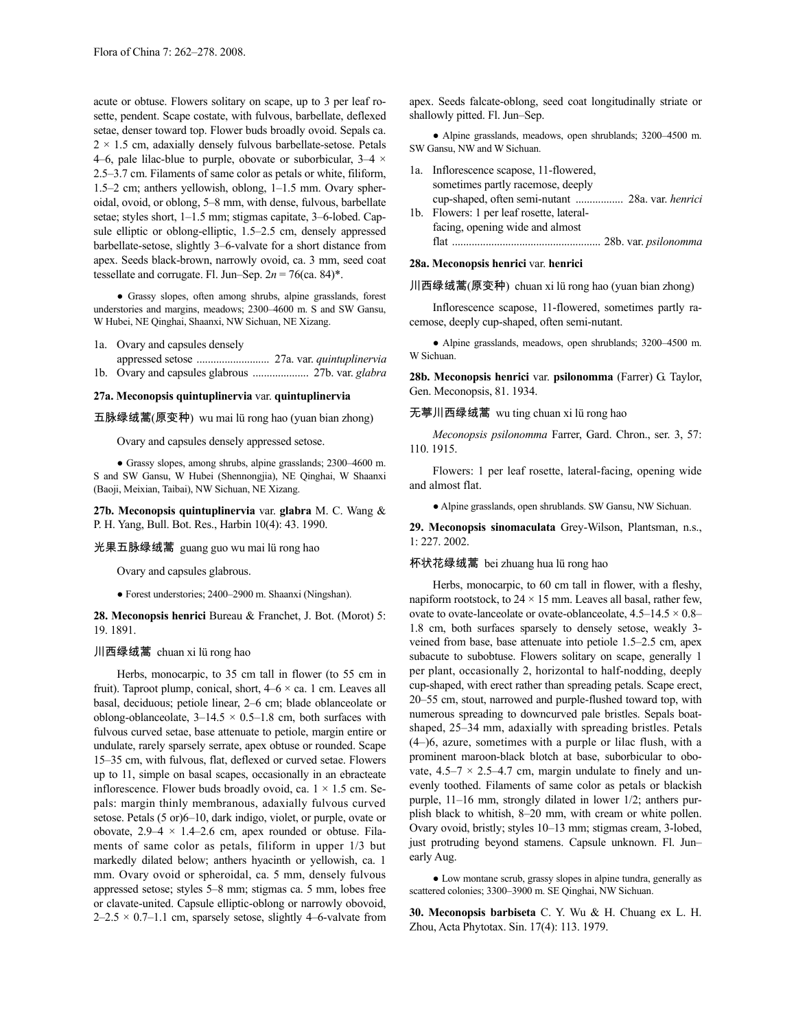acute or obtuse. Flowers solitary on scape, up to 3 per leaf rosette, pendent. Scape costate, with fulvous, barbellate, deflexed setae, denser toward top. Flower buds broadly ovoid. Sepals ca.  $2 \times 1.5$  cm, adaxially densely fulvous barbellate-setose. Petals 4–6, pale lilac-blue to purple, obovate or suborbicular,  $3-4 \times$ 2.5–3.7 cm. Filaments of same color as petals or white, filiform, 1.5–2 cm; anthers yellowish, oblong, 1–1.5 mm. Ovary spheroidal, ovoid, or oblong, 5–8 mm, with dense, fulvous, barbellate setae; styles short, 1–1.5 mm; stigmas capitate, 3–6-lobed. Capsule elliptic or oblong-elliptic, 1.5–2.5 cm, densely appressed barbellate-setose, slightly 3–6-valvate for a short distance from apex. Seeds black-brown, narrowly ovoid, ca. 3 mm, seed coat tessellate and corrugate. Fl. Jun–Sep.  $2n = 76$ (ca. 84)<sup>\*</sup>.

● Grassy slopes, often among shrubs, alpine grasslands, forest understories and margins, meadows; 2300–4600 m. S and SW Gansu, W Hubei, NE Qinghai, Shaanxi, NW Sichuan, NE Xizang.

- 1a. Ovary and capsules densely
- appressed setose .......................... 27a. var. *quintuplinervia* 1b. Ovary and capsules glabrous .................... 27b. var. *glabra*

# **27a. Meconopsis quintuplinervia** var. **quintuplinervia**

五脉绿绒蒿(原变种) wu mai lü rong hao (yuan bian zhong)

Ovary and capsules densely appressed setose.

● Grassy slopes, among shrubs, alpine grasslands; 2300–4600 m. S and SW Gansu, W Hubei (Shennongjia), NE Qinghai, W Shaanxi (Baoji, Meixian, Taibai), NW Sichuan, NE Xizang.

**27b. Meconopsis quintuplinervia** var. **glabra** M. C. Wang & P. H. Yang, Bull. Bot. Res., Harbin 10(4): 43. 1990.

光果五脉绿绒蒿 guang guo wu mai lü rong hao

Ovary and capsules glabrous.

● Forest understories; 2400–2900 m. Shaanxi (Ningshan).

**28. Meconopsis henrici** Bureau & Franchet, J. Bot. (Morot) 5: 19. 1891.

#### 川西绿绒蒿 chuan xi lü rong hao

Herbs, monocarpic, to 35 cm tall in flower (to 55 cm in fruit). Taproot plump, conical, short,  $4-6 \times$  ca. 1 cm. Leaves all basal, deciduous; petiole linear, 2–6 cm; blade oblanceolate or oblong-oblanceolate,  $3-14.5 \times 0.5-1.8$  cm, both surfaces with fulvous curved setae, base attenuate to petiole, margin entire or undulate, rarely sparsely serrate, apex obtuse or rounded. Scape 15–35 cm, with fulvous, flat, deflexed or curved setae. Flowers up to 11, simple on basal scapes, occasionally in an ebracteate inflorescence. Flower buds broadly ovoid, ca.  $1 \times 1.5$  cm. Sepals: margin thinly membranous, adaxially fulvous curved setose. Petals (5 or)6–10, dark indigo, violet, or purple, ovate or obovate,  $2.9-4 \times 1.4-2.6$  cm, apex rounded or obtuse. Filaments of same color as petals, filiform in upper 1/3 but markedly dilated below; anthers hyacinth or yellowish, ca. 1 mm. Ovary ovoid or spheroidal, ca. 5 mm, densely fulvous appressed setose; styles 5–8 mm; stigmas ca. 5 mm, lobes free or clavate-united. Capsule elliptic-oblong or narrowly obovoid,  $2-2.5 \times 0.7-1.1$  cm, sparsely setose, slightly 4-6-valvate from apex. Seeds falcate-oblong, seed coat longitudinally striate or shallowly pitted. Fl. Jun–Sep.

● Alpine grasslands, meadows, open shrublands; 3200–4500 m. SW Gansu, NW and W Sichuan.

| 1a. Inflorescence scapose, 11-flowered,   |                             |
|-------------------------------------------|-----------------------------|
| sometimes partly racemose, deeply         |                             |
|                                           |                             |
| 1b. Flowers: 1 per leaf rosette, lateral- |                             |
| facing, opening wide and almost           |                             |
| flat                                      | 28b. var. <i>psilonomma</i> |

#### **28a. Meconopsis henrici** var. **henrici**

川西绿绒蒿(原变种) chuan xi lü rong hao (yuan bian zhong)

Inflorescence scapose, 11-flowered, sometimes partly racemose, deeply cup-shaped, often semi-nutant.

● Alpine grasslands, meadows, open shrublands; 3200–4500 m. W Sichuan.

**28b. Meconopsis henrici** var. **psilonomma** (Farrer) G. Taylor, Gen. Meconopsis, 81. 1934.

无葶川西绿绒蒿 wu ting chuan xi lü rong hao

*Meconopsis psilonomma* Farrer, Gard. Chron., ser. 3, 57: 110. 1915.

Flowers: 1 per leaf rosette, lateral-facing, opening wide and almost flat.

● Alpine grasslands, open shrublands. SW Gansu, NW Sichuan.

**29. Meconopsis sinomaculata** Grey-Wilson, Plantsman, n.s., 1: 227. 2002.

## 杯状花绿绒蒿 bei zhuang hua lü rong hao

Herbs, monocarpic, to 60 cm tall in flower, with a fleshy, napiform rootstock, to  $24 \times 15$  mm. Leaves all basal, rather few, ovate to ovate-lanceolate or ovate-oblanceolate, 4.5–14.5 × 0.8– 1.8 cm, both surfaces sparsely to densely setose, weakly 3 veined from base, base attenuate into petiole 1.5–2.5 cm, apex subacute to subobtuse. Flowers solitary on scape, generally 1 per plant, occasionally 2, horizontal to half-nodding, deeply cup-shaped, with erect rather than spreading petals. Scape erect, 20–55 cm, stout, narrowed and purple-flushed toward top, with numerous spreading to downcurved pale bristles. Sepals boatshaped, 25–34 mm, adaxially with spreading bristles. Petals (4–)6, azure, sometimes with a purple or lilac flush, with a prominent maroon-black blotch at base, suborbicular to obovate,  $4.5-7 \times 2.5-4.7$  cm, margin undulate to finely and unevenly toothed. Filaments of same color as petals or blackish purple, 11–16 mm, strongly dilated in lower 1/2; anthers purplish black to whitish, 8–20 mm, with cream or white pollen. Ovary ovoid, bristly; styles 10–13 mm; stigmas cream, 3-lobed, just protruding beyond stamens. Capsule unknown. Fl. Jun– early Aug.

● Low montane scrub, grassy slopes in alpine tundra, generally as scattered colonies; 3300–3900 m. SE Qinghai, NW Sichuan.

**30. Meconopsis barbiseta** C. Y. Wu & H. Chuang ex L. H. Zhou, Acta Phytotax. Sin. 17(4): 113. 1979.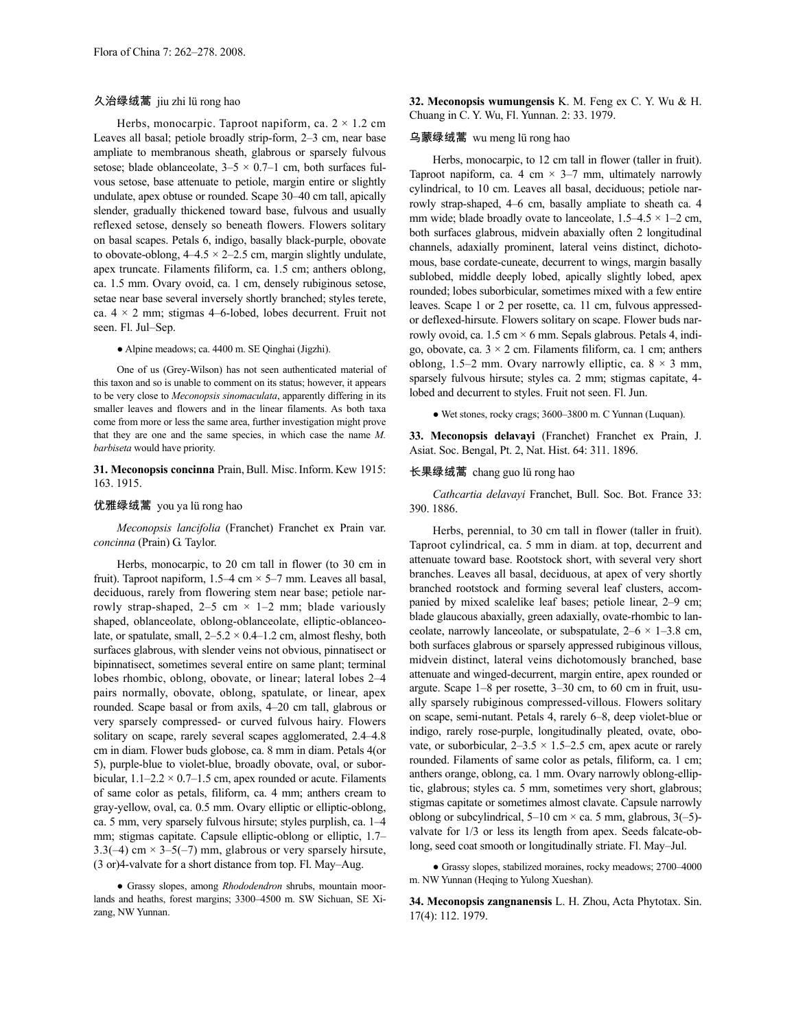# 久治绿绒蒿 jiu zhi lü rong hao

Herbs, monocarpic. Taproot napiform, ca.  $2 \times 1.2$  cm Leaves all basal; petiole broadly strip-form, 2–3 cm, near base ampliate to membranous sheath, glabrous or sparsely fulvous setose; blade oblanceolate,  $3-5 \times 0.7-1$  cm, both surfaces fulvous setose, base attenuate to petiole, margin entire or slightly undulate, apex obtuse or rounded. Scape 30–40 cm tall, apically slender, gradually thickened toward base, fulvous and usually reflexed setose, densely so beneath flowers. Flowers solitary on basal scapes. Petals 6, indigo, basally black-purple, obovate to obovate-oblong,  $4-4.5 \times 2-2.5$  cm, margin slightly undulate, apex truncate. Filaments filiform, ca. 1.5 cm; anthers oblong, ca. 1.5 mm. Ovary ovoid, ca. 1 cm, densely rubiginous setose, setae near base several inversely shortly branched; styles terete, ca.  $4 \times 2$  mm; stigmas 4–6-lobed, lobes decurrent. Fruit not seen. Fl. Jul–Sep.

● Alpine meadows; ca. 4400 m. SE Qinghai (Jigzhi).

One of us (Grey-Wilson) has not seen authenticated material of this taxon and so is unable to comment on its status; however, it appears to be very close to *Meconopsis sinomaculata*, apparently differing in its smaller leaves and flowers and in the linear filaments. As both taxa come from more or less the same area, further investigation might prove that they are one and the same species, in which case the name *M. barbiseta* would have priority.

31. Meconopsis concinna Prain, Bull. Misc. Inform. Kew 1915: 163. 1915.

# 优雅绿绒蒿 you ya lü rong hao

*Meconopsis lancifolia* (Franchet) Franchet ex Prain var. *concinna* (Prain) G. Taylor.

Herbs, monocarpic, to 20 cm tall in flower (to 30 cm in fruit). Taproot napiform,  $1.5-4$  cm  $\times$  5-7 mm. Leaves all basal, deciduous, rarely from flowering stem near base; petiole narrowly strap-shaped,  $2-5$  cm  $\times$  1-2 mm; blade variously shaped, oblanceolate, oblong-oblanceolate, elliptic-oblanceolate, or spatulate, small,  $2-5.2 \times 0.4-1.2$  cm, almost fleshy, both surfaces glabrous, with slender veins not obvious, pinnatisect or bipinnatisect, sometimes several entire on same plant; terminal lobes rhombic, oblong, obovate, or linear; lateral lobes 2–4 pairs normally, obovate, oblong, spatulate, or linear, apex rounded. Scape basal or from axils, 4–20 cm tall, glabrous or very sparsely compressed- or curved fulvous hairy. Flowers solitary on scape, rarely several scapes agglomerated, 2.4–4.8 cm in diam. Flower buds globose, ca. 8 mm in diam. Petals 4(or 5), purple-blue to violet-blue, broadly obovate, oval, or suborbicular,  $1.1-2.2 \times 0.7-1.5$  cm, apex rounded or acute. Filaments of same color as petals, filiform, ca. 4 mm; anthers cream to gray-yellow, oval, ca. 0.5 mm. Ovary elliptic or elliptic-oblong, ca. 5 mm, very sparsely fulvous hirsute; styles purplish, ca. 1–4 mm; stigmas capitate. Capsule elliptic-oblong or elliptic, 1.7– 3.3(-4) cm  $\times$  3-5(-7) mm, glabrous or very sparsely hirsute, (3 or)4-valvate for a short distance from top. Fl. May–Aug.

● Grassy slopes, among *Rhododendron* shrubs, mountain moorlands and heaths, forest margins; 3300–4500 m. SW Sichuan, SE Xizang, NW Yunnan.

**32. Meconopsis wumungensis** K. M. Feng ex C. Y. Wu & H. Chuang in C. Y. Wu, Fl. Yunnan. 2: 33. 1979.

### 乌蒙绿绒蒿 wu meng lü rong hao

Herbs, monocarpic, to 12 cm tall in flower (taller in fruit). Taproot napiform, ca. 4 cm  $\times$  3–7 mm, ultimately narrowly cylindrical, to 10 cm. Leaves all basal, deciduous; petiole narrowly strap-shaped, 4–6 cm, basally ampliate to sheath ca. 4 mm wide; blade broadly ovate to lanceolate,  $1.5-4.5 \times 1-2$  cm, both surfaces glabrous, midvein abaxially often 2 longitudinal channels, adaxially prominent, lateral veins distinct, dichotomous, base cordate-cuneate, decurrent to wings, margin basally sublobed, middle deeply lobed, apically slightly lobed, apex rounded; lobes suborbicular, sometimes mixed with a few entire leaves. Scape 1 or 2 per rosette, ca. 11 cm, fulvous appressedor deflexed-hirsute. Flowers solitary on scape. Flower buds narrowly ovoid, ca.  $1.5 \text{ cm} \times 6 \text{ mm}$ . Sepals glabrous. Petals 4, indigo, obovate, ca.  $3 \times 2$  cm. Filaments filiform, ca. 1 cm; anthers oblong, 1.5–2 mm. Ovary narrowly elliptic, ca.  $8 \times 3$  mm, sparsely fulvous hirsute; styles ca. 2 mm; stigmas capitate, 4 lobed and decurrent to styles. Fruit not seen. Fl. Jun.

● Wet stones, rocky crags; 3600–3800 m. C Yunnan (Luquan).

**33. Meconopsis delavayi** (Franchet) Franchet ex Prain, J. Asiat. Soc. Bengal, Pt. 2, Nat. Hist. 64: 311. 1896.

# 长果绿绒蒿 chang guo lü rong hao

*Cathcartia delavayi* Franchet, Bull. Soc. Bot. France 33: 390. 1886.

Herbs, perennial, to 30 cm tall in flower (taller in fruit). Taproot cylindrical, ca. 5 mm in diam. at top, decurrent and attenuate toward base. Rootstock short, with several very short branches. Leaves all basal, deciduous, at apex of very shortly branched rootstock and forming several leaf clusters, accompanied by mixed scalelike leaf bases; petiole linear, 2–9 cm; blade glaucous abaxially, green adaxially, ovate-rhombic to lanceolate, narrowly lanceolate, or subspatulate,  $2-6 \times 1-3.8$  cm, both surfaces glabrous or sparsely appressed rubiginous villous, midvein distinct, lateral veins dichotomously branched, base attenuate and winged-decurrent, margin entire, apex rounded or argute. Scape 1–8 per rosette, 3–30 cm, to 60 cm in fruit, usually sparsely rubiginous compressed-villous. Flowers solitary on scape, semi-nutant. Petals 4, rarely 6–8, deep violet-blue or indigo, rarely rose-purple, longitudinally pleated, ovate, obovate, or suborbicular,  $2-3.5 \times 1.5-2.5$  cm, apex acute or rarely rounded. Filaments of same color as petals, filiform, ca. 1 cm; anthers orange, oblong, ca. 1 mm. Ovary narrowly oblong-elliptic, glabrous; styles ca. 5 mm, sometimes very short, glabrous; stigmas capitate or sometimes almost clavate. Capsule narrowly oblong or subcylindrical,  $5-10$  cm  $\times$  ca. 5 mm, glabrous,  $3(-5)$ valvate for 1/3 or less its length from apex. Seeds falcate-oblong, seed coat smooth or longitudinally striate. Fl. May–Jul.

● Grassy slopes, stabilized moraines, rocky meadows; 2700–4000 m. NW Yunnan (Heqing to Yulong Xueshan).

**34. Meconopsis zangnanensis** L. H. Zhou, Acta Phytotax. Sin. 17(4): 112. 1979.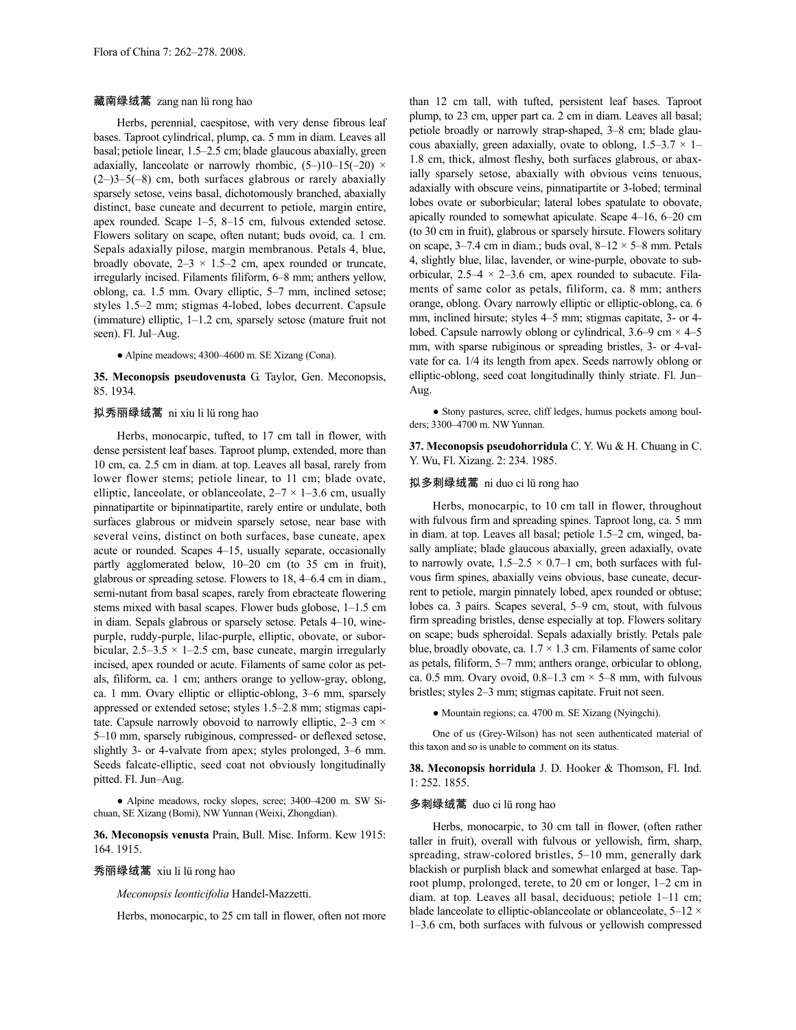#### 藏南绿绒蒿 zang nan lü rong hao

Herbs, perennial, caespitose, with very dense fibrous leaf bases. Taproot cylindrical, plump, ca. 5 mm in diam. Leaves all basal; petiole linear, 1.5–2.5 cm; blade glaucous abaxially, green adaxially, lanceolate or narrowly rhombic,  $(5-)10-15(-20)$  ×  $(2-)3-5(-8)$  cm, both surfaces glabrous or rarely abaxially sparsely setose, veins basal, dichotomously branched, abaxially distinct, base cuneate and decurrent to petiole, margin entire, apex rounded. Scape 1–5, 8–15 cm, fulvous extended setose. Flowers solitary on scape, often nutant; buds ovoid, ca. 1 cm. Sepals adaxially pilose, margin membranous. Petals 4, blue, broadly obovate,  $2-3 \times 1.5-2$  cm, apex rounded or truncate, irregularly incised. Filaments filiform, 6–8 mm; anthers yellow, oblong, ca. 1.5 mm. Ovary elliptic, 5–7 mm, inclined setose; styles 1.5–2 mm; stigmas 4-lobed, lobes decurrent. Capsule (immature) elliptic, 1–1.2 cm, sparsely setose (mature fruit not seen). Fl. Jul–Aug.

● Alpine meadows; 4300–4600 m. SE Xizang (Cona).

**35. Meconopsis pseudovenusta** G. Taylor, Gen. Meconopsis, 85. 1934.

# 拟秀丽绿绒蒿 ni xiu li lü rong hao

Herbs, monocarpic, tufted, to 17 cm tall in flower, with dense persistent leaf bases. Taproot plump, extended, more than 10 cm, ca. 2.5 cm in diam. at top. Leaves all basal, rarely from lower flower stems; petiole linear, to 11 cm; blade ovate, elliptic, lanceolate, or oblanceolate,  $2-7 \times 1-3.6$  cm, usually pinnatipartite or bipinnatipartite, rarely entire or undulate, both surfaces glabrous or midvein sparsely setose, near base with several veins, distinct on both surfaces, base cuneate, apex acute or rounded. Scapes 4–15, usually separate, occasionally partly agglomerated below, 10–20 cm (to 35 cm in fruit), glabrous or spreading setose. Flowers to 18, 4–6.4 cm in diam., semi-nutant from basal scapes, rarely from ebracteate flowering stems mixed with basal scapes. Flower buds globose, 1–1.5 cm in diam. Sepals glabrous or sparsely setose. Petals 4–10, winepurple, ruddy-purple, lilac-purple, elliptic, obovate, or suborbicular,  $2.5-3.5 \times 1-2.5$  cm, base cuneate, margin irregularly incised, apex rounded or acute. Filaments of same color as petals, filiform, ca. 1 cm; anthers orange to yellow-gray, oblong, ca. 1 mm. Ovary elliptic or elliptic-oblong, 3–6 mm, sparsely appressed or extended setose; styles 1.5–2.8 mm; stigmas capitate. Capsule narrowly obovoid to narrowly elliptic,  $2-3$  cm  $\times$ 5–10 mm, sparsely rubiginous, compressed- or deflexed setose, slightly 3- or 4-valvate from apex; styles prolonged, 3–6 mm. Seeds falcate-elliptic, seed coat not obviously longitudinally pitted. Fl. Jun–Aug.

• Alpine meadows, rocky slopes, scree; 3400–4200 m. SW Sichuan, SE Xizang (Bomi), NW Yunnan (Weixi, Zhongdian).

**36. Meconopsis venusta** Prain, Bull. Misc. Inform. Kew 1915: 164. 1915.

### 秀丽绿绒蒿 xiu li lü rong hao

*Meconopsis leonticifolia* Handel-Mazzetti.

Herbs, monocarpic, to 25 cm tall in flower, often not more

than 12 cm tall, with tufted, persistent leaf bases. Taproot plump, to 23 cm, upper part ca. 2 cm in diam. Leaves all basal; petiole broadly or narrowly strap-shaped, 3–8 cm; blade glaucous abaxially, green adaxially, ovate to oblong,  $1.5-3.7 \times 1-$ 1.8 cm, thick, almost fleshy, both surfaces glabrous, or abaxially sparsely setose, abaxially with obvious veins tenuous, adaxially with obscure veins, pinnatipartite or 3-lobed; terminal lobes ovate or suborbicular; lateral lobes spatulate to obovate, apically rounded to somewhat apiculate. Scape 4–16, 6–20 cm (to 30 cm in fruit), glabrous or sparsely hirsute. Flowers solitary on scape,  $3-7.4$  cm in diam.; buds oval,  $8-12 \times 5-8$  mm. Petals 4, slightly blue, lilac, lavender, or wine-purple, obovate to suborbicular,  $2.5-4 \times 2-3.6$  cm, apex rounded to subacute. Filaments of same color as petals, filiform, ca. 8 mm; anthers orange, oblong. Ovary narrowly elliptic or elliptic-oblong, ca. 6 mm, inclined hirsute; styles 4–5 mm; stigmas capitate, 3- or 4 lobed. Capsule narrowly oblong or cylindrical,  $3.6-9$  cm  $\times$  4–5 mm, with sparse rubiginous or spreading bristles, 3- or 4-valvate for ca. 1/4 its length from apex. Seeds narrowly oblong or elliptic-oblong, seed coat longitudinally thinly striate. Fl. Jun– Aug.

• Stony pastures, scree, cliff ledges, humus pockets among boulders; 3300–4700 m. NW Yunnan.

**37. Meconopsis pseudohorridula** C. Y. Wu & H. Chuang in C. Y. Wu, Fl. Xizang. 2: 234. 1985.

#### 拟多刺绿绒蒿 ni duo ci lü rong hao

Herbs, monocarpic, to 10 cm tall in flower, throughout with fulvous firm and spreading spines. Taproot long, ca. 5 mm in diam. at top. Leaves all basal; petiole 1.5–2 cm, winged, basally ampliate; blade glaucous abaxially, green adaxially, ovate to narrowly ovate,  $1.5-2.5 \times 0.7-1$  cm, both surfaces with fulvous firm spines, abaxially veins obvious, base cuneate, decurrent to petiole, margin pinnately lobed, apex rounded or obtuse; lobes ca. 3 pairs. Scapes several, 5–9 cm, stout, with fulvous firm spreading bristles, dense especially at top. Flowers solitary on scape; buds spheroidal. Sepals adaxially bristly. Petals pale blue, broadly obovate, ca.  $1.7 \times 1.3$  cm. Filaments of same color as petals, filiform, 5–7 mm; anthers orange, orbicular to oblong, ca. 0.5 mm. Ovary ovoid,  $0.8-1.3$  cm  $\times$  5–8 mm, with fulvous bristles; styles 2–3 mm; stigmas capitate. Fruit not seen.

● Mountain regions; ca. 4700 m. SE Xizang (Nyingchi).

One of us (Grey-Wilson) has not seen authenticated material of this taxon and so is unable to comment on its status.

**38. Meconopsis horridula** J. D. Hooker & Thomson, Fl. Ind. 1: 252. 1855.

### 多刺绿绒蒿 duo ci lü rong hao

Herbs, monocarpic, to 30 cm tall in flower, (often rather taller in fruit), overall with fulvous or yellowish, firm, sharp, spreading, straw-colored bristles, 5–10 mm, generally dark blackish or purplish black and somewhat enlarged at base. Taproot plump, prolonged, terete, to 20 cm or longer, 1–2 cm in diam. at top. Leaves all basal, deciduous; petiole 1–11 cm; blade lanceolate to elliptic-oblanceolate or oblanceolate,  $5-12 \times$ 1–3.6 cm, both surfaces with fulvous or yellowish compressed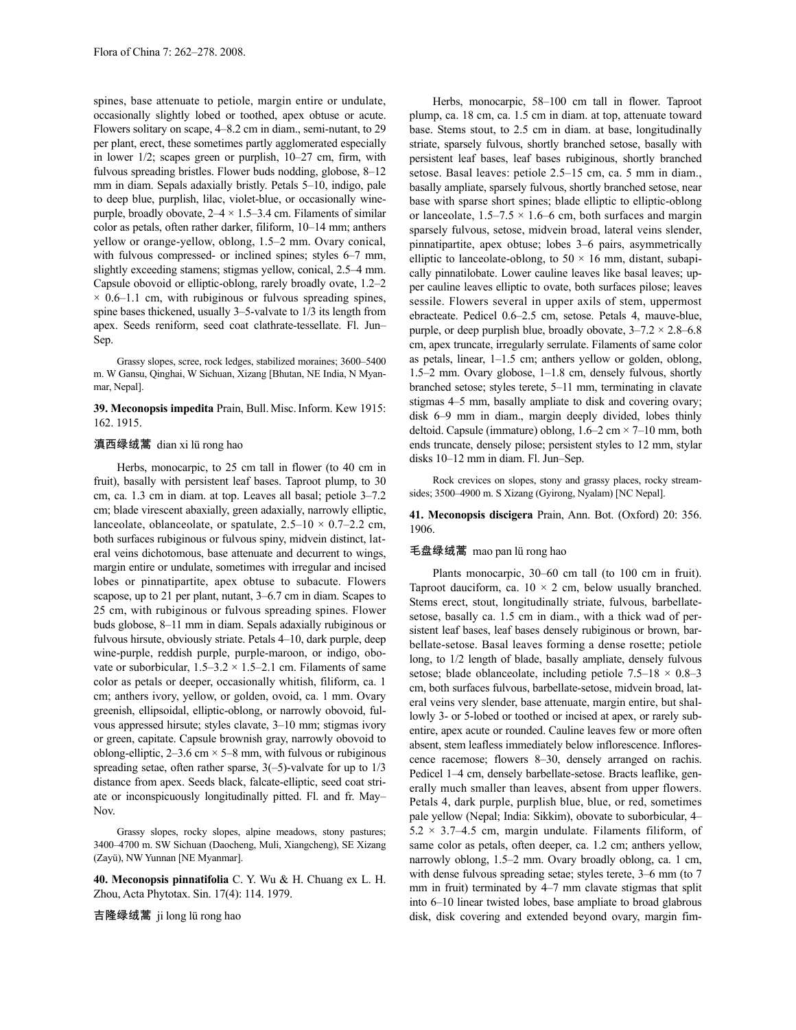spines, base attenuate to petiole, margin entire or undulate, occasionally slightly lobed or toothed, apex obtuse or acute. Flowers solitary on scape, 4–8.2 cm in diam., semi-nutant, to 29 per plant, erect, these sometimes partly agglomerated especially in lower 1/2; scapes green or purplish, 10–27 cm, firm, with fulvous spreading bristles. Flower buds nodding, globose, 8–12 mm in diam. Sepals adaxially bristly. Petals 5–10, indigo, pale to deep blue, purplish, lilac, violet-blue, or occasionally winepurple, broadly obovate,  $2-4 \times 1.5-3.4$  cm. Filaments of similar color as petals, often rather darker, filiform, 10–14 mm; anthers yellow or orange-yellow, oblong, 1.5–2 mm. Ovary conical, with fulvous compressed- or inclined spines; styles 6–7 mm, slightly exceeding stamens; stigmas yellow, conical, 2.5–4 mm. Capsule obovoid or elliptic-oblong, rarely broadly ovate, 1.2–2  $\times$  0.6–1.1 cm, with rubiginous or fulvous spreading spines, spine bases thickened, usually 3–5-valvate to 1/3 its length from apex. Seeds reniform, seed coat clathrate-tessellate. Fl. Jun– Sep.

Grassy slopes, scree, rock ledges, stabilized moraines; 3600–5400 m. W Gansu, Qinghai, W Sichuan, Xizang [Bhutan, NE India, N Myanmar, Nepal].

**39. Meconopsis impedita** Prain, Bull.Misc.Inform. Kew 1915: 162. 1915.

# 滇西绿绒蒿 dian xi lü rong hao

Herbs, monocarpic, to 25 cm tall in flower (to 40 cm in fruit), basally with persistent leaf bases. Taproot plump, to 30 cm, ca. 1.3 cm in diam. at top. Leaves all basal; petiole 3–7.2 cm; blade virescent abaxially, green adaxially, narrowly elliptic, lanceolate, oblanceolate, or spatulate,  $2.5-10 \times 0.7-2.2$  cm, both surfaces rubiginous or fulvous spiny, midvein distinct, lateral veins dichotomous, base attenuate and decurrent to wings, margin entire or undulate, sometimes with irregular and incised lobes or pinnatipartite, apex obtuse to subacute. Flowers scapose, up to 21 per plant, nutant, 3–6.7 cm in diam. Scapes to 25 cm, with rubiginous or fulvous spreading spines. Flower buds globose, 8–11 mm in diam. Sepals adaxially rubiginous or fulvous hirsute, obviously striate. Petals 4–10, dark purple, deep wine-purple, reddish purple, purple-maroon, or indigo, obovate or suborbicular,  $1.5-3.2 \times 1.5-2.1$  cm. Filaments of same color as petals or deeper, occasionally whitish, filiform, ca. 1 cm; anthers ivory, yellow, or golden, ovoid, ca. 1 mm. Ovary greenish, ellipsoidal, elliptic-oblong, or narrowly obovoid, fulvous appressed hirsute; styles clavate, 3–10 mm; stigmas ivory or green, capitate. Capsule brownish gray, narrowly obovoid to oblong-elliptic,  $2-3.6$  cm  $\times$  5–8 mm, with fulvous or rubiginous spreading setae, often rather sparse,  $3(-5)$ -valvate for up to  $1/3$ distance from apex. Seeds black, falcate-elliptic, seed coat striate or inconspicuously longitudinally pitted. Fl. and fr. May– Nov.

Grassy slopes, rocky slopes, alpine meadows, stony pastures; 3400–4700 m. SW Sichuan (Daocheng, Muli, Xiangcheng), SE Xizang (Zayü), NW Yunnan [NE Myanmar].

**40. Meconopsis pinnatifolia** C. Y. Wu & H. Chuang ex L. H. Zhou, Acta Phytotax. Sin. 17(4): 114. 1979.

吉隆绿绒蒿 ji long lü rong hao

Herbs, monocarpic, 58–100 cm tall in flower. Taproot plump, ca. 18 cm, ca. 1.5 cm in diam. at top, attenuate toward base. Stems stout, to 2.5 cm in diam. at base, longitudinally striate, sparsely fulvous, shortly branched setose, basally with persistent leaf bases, leaf bases rubiginous, shortly branched setose. Basal leaves: petiole 2.5–15 cm, ca. 5 mm in diam., basally ampliate, sparsely fulvous, shortly branched setose, near base with sparse short spines; blade elliptic to elliptic-oblong or lanceolate,  $1.5-7.5 \times 1.6-6$  cm, both surfaces and margin sparsely fulvous, setose, midvein broad, lateral veins slender, pinnatipartite, apex obtuse; lobes 3–6 pairs, asymmetrically elliptic to lanceolate-oblong, to  $50 \times 16$  mm, distant, subapically pinnatilobate. Lower cauline leaves like basal leaves; upper cauline leaves elliptic to ovate, both surfaces pilose; leaves sessile. Flowers several in upper axils of stem, uppermost ebracteate. Pedicel 0.6–2.5 cm, setose. Petals 4, mauve-blue, purple, or deep purplish blue, broadly obovate,  $3-7.2 \times 2.8-6.8$ cm, apex truncate, irregularly serrulate. Filaments of same color as petals, linear, 1–1.5 cm; anthers yellow or golden, oblong, 1.5–2 mm. Ovary globose, 1–1.8 cm, densely fulvous, shortly branched setose; styles terete, 5–11 mm, terminating in clavate stigmas 4–5 mm, basally ampliate to disk and covering ovary; disk 6–9 mm in diam., margin deeply divided, lobes thinly deltoid. Capsule (immature) oblong, 1.6–2 cm × 7–10 mm, both ends truncate, densely pilose; persistent styles to 12 mm, stylar disks 10–12 mm in diam. Fl. Jun–Sep.

Rock crevices on slopes, stony and grassy places, rocky streamsides; 3500–4900 m. S Xizang (Gyirong, Nyalam) [NC Nepal].

**41. Meconopsis discigera** Prain, Ann. Bot. (Oxford) 20: 356. 1906.

### 毛盘绿绒蒿 mao pan lü rong hao

Plants monocarpic, 30–60 cm tall (to 100 cm in fruit). Taproot dauciform, ca.  $10 \times 2$  cm, below usually branched. Stems erect, stout, longitudinally striate, fulvous, barbellatesetose, basally ca. 1.5 cm in diam., with a thick wad of persistent leaf bases, leaf bases densely rubiginous or brown, barbellate-setose. Basal leaves forming a dense rosette; petiole long, to 1/2 length of blade, basally ampliate, densely fulvous setose; blade oblanceolate, including petiole  $7.5-18 \times 0.8-3$ cm, both surfaces fulvous, barbellate-setose, midvein broad, lateral veins very slender, base attenuate, margin entire, but shallowly 3- or 5-lobed or toothed or incised at apex, or rarely subentire, apex acute or rounded. Cauline leaves few or more often absent, stem leafless immediately below inflorescence. Inflorescence racemose; flowers 8–30, densely arranged on rachis. Pedicel 1–4 cm, densely barbellate-setose. Bracts leaflike, generally much smaller than leaves, absent from upper flowers. Petals 4, dark purple, purplish blue, blue, or red, sometimes pale yellow (Nepal; India: Sikkim), obovate to suborbicular, 4–  $5.2 \times 3.7 - 4.5$  cm, margin undulate. Filaments filiform, of same color as petals, often deeper, ca. 1.2 cm; anthers yellow, narrowly oblong, 1.5–2 mm. Ovary broadly oblong, ca. 1 cm, with dense fulvous spreading setae; styles terete, 3–6 mm (to 7 mm in fruit) terminated by 4–7 mm clavate stigmas that split into 6–10 linear twisted lobes, base ampliate to broad glabrous disk, disk covering and extended beyond ovary, margin fim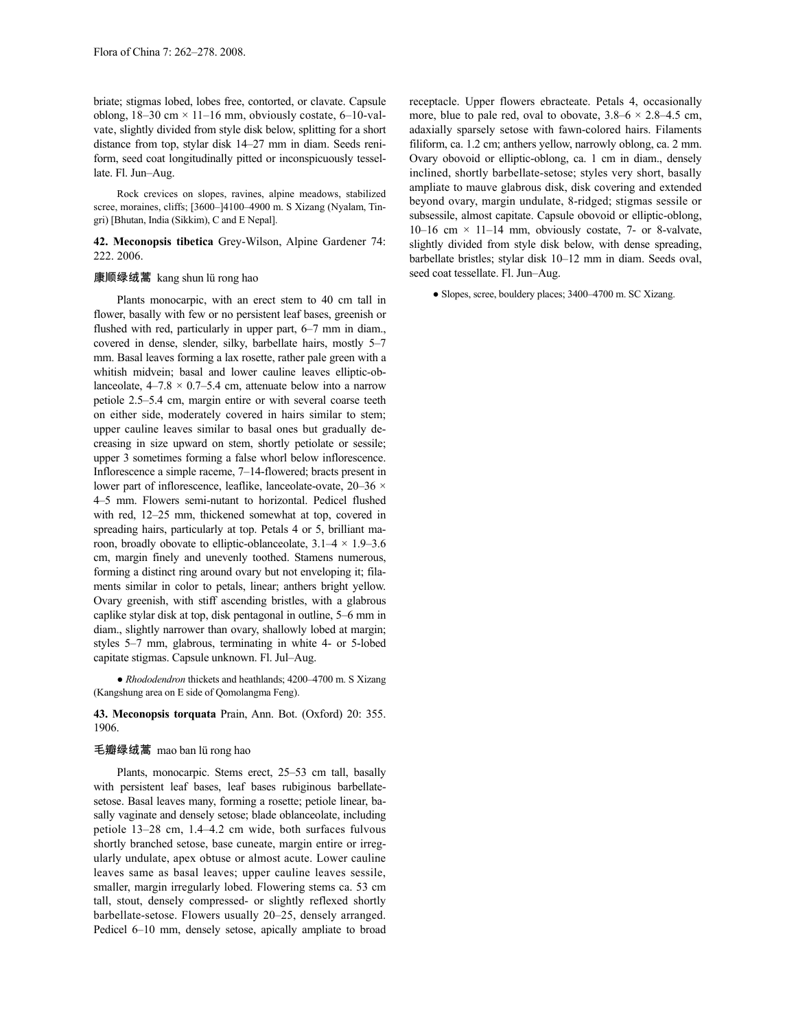briate; stigmas lobed, lobes free, contorted, or clavate. Capsule oblong,  $18-30$  cm  $\times$  11–16 mm, obviously costate, 6–10-valvate, slightly divided from style disk below, splitting for a short distance from top, stylar disk 14–27 mm in diam. Seeds reniform, seed coat longitudinally pitted or inconspicuously tessellate. Fl. Jun–Aug.

Rock crevices on slopes, ravines, alpine meadows, stabilized scree, moraines, cliffs; [3600-]4100-4900 m. S Xizang (Nyalam, Tingri) [Bhutan, India (Sikkim), C and E Nepal].

**42. Meconopsis tibetica** Grey-Wilson, Alpine Gardener 74: 222. 2006.

# 康顺绿绒蒿 kang shun lü rong hao

Plants monocarpic, with an erect stem to 40 cm tall in flower, basally with few or no persistent leaf bases, greenish or flushed with red, particularly in upper part, 6–7 mm in diam., covered in dense, slender, silky, barbellate hairs, mostly 5–7 mm. Basal leaves forming a lax rosette, rather pale green with a whitish midvein; basal and lower cauline leaves elliptic-oblanceolate,  $4-7.8 \times 0.7-5.4$  cm, attenuate below into a narrow petiole 2.5–5.4 cm, margin entire or with several coarse teeth on either side, moderately covered in hairs similar to stem; upper cauline leaves similar to basal ones but gradually decreasing in size upward on stem, shortly petiolate or sessile; upper 3 sometimes forming a false whorl below inflorescence. Inflorescence a simple raceme, 7–14-flowered; bracts present in lower part of inflorescence, leaflike, lanceolate-ovate, 20–36  $\times$ 4–5 mm. Flowers semi-nutant to horizontal. Pedicel flushed with red, 12–25 mm, thickened somewhat at top, covered in spreading hairs, particularly at top. Petals 4 or 5, brilliant maroon, broadly obovate to elliptic-oblanceolate,  $3.1-4 \times 1.9-3.6$ cm, margin finely and unevenly toothed. Stamens numerous, forming a distinct ring around ovary but not enveloping it; filaments similar in color to petals, linear; anthers bright yellow. Ovary greenish, with stiff ascending bristles, with a glabrous caplike stylar disk at top, disk pentagonal in outline, 5–6 mm in diam., slightly narrower than ovary, shallowly lobed at margin; styles 5–7 mm, glabrous, terminating in white 4- or 5-lobed capitate stigmas. Capsule unknown. Fl. Jul–Aug.

● *Rhododendron* thickets and heathlands; 4200–4700 m. S Xizang (Kangshung area on E side of Qomolangma Feng).

**43. Meconopsis torquata** Prain, Ann. Bot. (Oxford) 20: 355. 1906.

### 毛瓣绿绒蒿 mao ban lü rong hao

Plants, monocarpic. Stems erect, 25–53 cm tall, basally with persistent leaf bases, leaf bases rubiginous barbellatesetose. Basal leaves many, forming a rosette; petiole linear, basally vaginate and densely setose; blade oblanceolate, including petiole 13–28 cm, 1.4–4.2 cm wide, both surfaces fulvous shortly branched setose, base cuneate, margin entire or irregularly undulate, apex obtuse or almost acute. Lower cauline leaves same as basal leaves; upper cauline leaves sessile, smaller, margin irregularly lobed. Flowering stems ca. 53 cm tall, stout, densely compressed- or slightly reflexed shortly barbellate-setose. Flowers usually 20–25, densely arranged. Pedicel 6–10 mm, densely setose, apically ampliate to broad receptacle. Upper flowers ebracteate. Petals 4, occasionally more, blue to pale red, oval to obovate,  $3.8-6 \times 2.8-4.5$  cm, adaxially sparsely setose with fawn-colored hairs. Filaments filiform, ca. 1.2 cm; anthers yellow, narrowly oblong, ca. 2 mm. Ovary obovoid or elliptic-oblong, ca. 1 cm in diam., densely inclined, shortly barbellate-setose; styles very short, basally ampliate to mauve glabrous disk, disk covering and extended beyond ovary, margin undulate, 8-ridged; stigmas sessile or subsessile, almost capitate. Capsule obovoid or elliptic-oblong, 10–16 cm  $\times$  11–14 mm, obviously costate, 7- or 8-valvate, slightly divided from style disk below, with dense spreading, barbellate bristles; stylar disk 10–12 mm in diam. Seeds oval, seed coat tessellate. Fl. Jun–Aug.

● Slopes, scree, bouldery places; 3400–4700 m. SC Xizang.